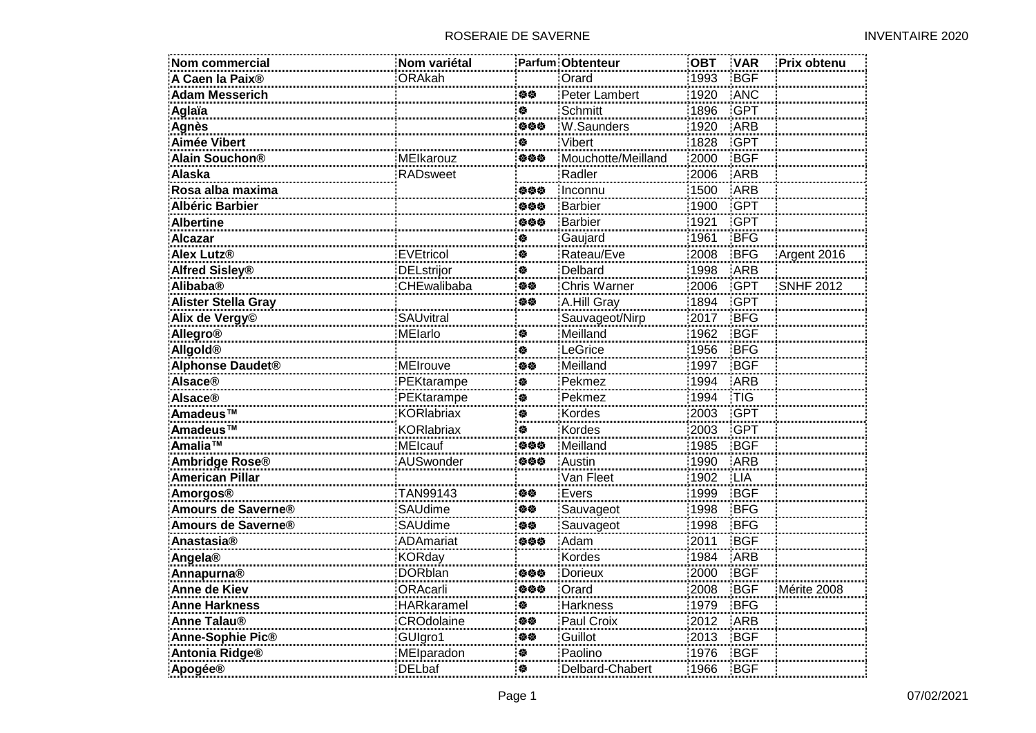| <b>Nom commercial</b>       | Nom variétal      |     | Parfum Obtenteur    | <b>OBT</b> | <b>VAR</b> | Prix obtenu      |
|-----------------------------|-------------------|-----|---------------------|------------|------------|------------------|
| A Caen la Paix <sup>®</sup> | <b>ORAkah</b>     |     | Orard               | 1993       | <b>BGF</b> |                  |
| <b>Adam Messerich</b>       |                   | 修修  | Peter Lambert       | 1920       | ANC        |                  |
| Aglaïa                      |                   | 穆   | <b>Schmitt</b>      | 1896       | <b>GPT</b> |                  |
| <b>Agnès</b>                |                   | 伯伯伯 | W.Saunders          | 1920       | ARB        |                  |
| <b>Aimée Vibert</b>         |                   | 傪   | Vibert              | 1828       | <b>GPT</b> |                  |
| Alain Souchon <sup>®</sup>  | MElkarouz         | 姿姿姿 | Mouchotte/Meilland  | 2000       | <b>BGF</b> |                  |
| <b>Alaska</b>               | RADsweet          |     | Radler              | 2006       | ARB        |                  |
| Rosa alba maxima            |                   | 负负负 | Inconnu             | 1500       | ARB        |                  |
| <b>Albéric Barbier</b>      |                   | 伯伯伯 | <b>Barbier</b>      | 1900       | <b>GPT</b> |                  |
| <b>Albertine</b>            |                   | 旋旋旋 | <b>Barbier</b>      | 1921       | <b>GPT</b> |                  |
| <b>Alcazar</b>              |                   | 泰   | Gaujard             | 1961       | <b>BFG</b> |                  |
| <b>Alex Lutz®</b>           | <b>EVEtricol</b>  | 傪   | Rateau/Eve          | 2008       | <b>BFG</b> | Argent 2016      |
| <b>Alfred Sisley®</b>       | <b>DELstrijor</b> | 傪   | Delbard             | 1998       | <b>ARB</b> |                  |
| Alibaba®                    | CHEwalibaba       | 伯位  | <b>Chris Warner</b> | 2006       | <b>GPT</b> | <b>SNHF 2012</b> |
| <b>Alister Stella Gray</b>  |                   | 伯位  | A.Hill Gray         | 1894       | <b>GPT</b> |                  |
| Alix de Vergy <sup>©</sup>  | SAUvitral         |     | Sauvageot/Nirp      | 2017       | <b>BFG</b> |                  |
| <b>Allegro®</b>             | MElarlo           | 餋   | Meilland            | 1962       | <b>BGF</b> |                  |
| Allgold®                    |                   | 餋   | LeGrice             | 1956       | <b>BFG</b> |                  |
| <b>Alphonse Daudet®</b>     | MEIrouve          | 伯位  | Meilland            | 1997       | <b>BGF</b> |                  |
| <b>Alsace®</b>              | PEKtarampe        | 俊   | Pekmez              | 1994       | ARB        |                  |
| <b>Alsace®</b>              | PEKtarampe        | 餋   | Pekmez              | 1994       | <b>TIG</b> |                  |
| Amadeus™                    | <b>KORlabriax</b> | 穆   | Kordes              | 2003       | <b>GPT</b> |                  |
| Amadeus™                    | <b>KORlabriax</b> | 穆   | Kordes              | 2003       | <b>GPT</b> |                  |
| Amalia™                     | <b>MEIcauf</b>    | 负负负 | Meilland            | 1985       | <b>BGF</b> |                  |
| <b>Ambridge Rose®</b>       | AUSwonder         | 姿姿姿 | Austin              | 1990       | <b>ARB</b> |                  |
| <b>American Pillar</b>      |                   |     | Van Fleet           | 1902       | <b>LIA</b> |                  |
| Amorgos®                    | TAN99143          | 修修  | Evers               | 1999       | <b>BGF</b> |                  |
| Amours de Saverne®          | SAUdime           | 修修  | Sauvageot           | 1998       | <b>BFG</b> |                  |
| Amours de Saverne®          | <b>SAUdime</b>    | 修修  | Sauvageot           | 1998       | <b>BFG</b> |                  |
| Anastasia®                  | <b>ADAmariat</b>  | 姿姿姿 | Adam                | 2011       | <b>BGF</b> |                  |
| Angela®                     | <b>KORday</b>     |     | Kordes              | 1984       | ARB        |                  |
| Annapurna®                  | <b>DORblan</b>    | 负负负 | <b>Dorieux</b>      | 2000       | <b>BGF</b> |                  |
| Anne de Kiev                | ORAcarli          | 负负负 | Orard               | 2008       | <b>BGF</b> | Mérite 2008      |
| <b>Anne Harkness</b>        | <b>HARkaramel</b> | 俊   | <b>Harkness</b>     | 1979       | <b>BFG</b> |                  |
| <b>Anne Talau®</b>          | <b>CROdolaine</b> | 旋旋  | Paul Croix          | 2012       | <b>ARB</b> |                  |
| Anne-Sophie Pic®            | GUIgro1           | 伯位  | Guillot             | 2013       | <b>BGF</b> |                  |
| <b>Antonia Ridge®</b>       | MElparadon        | 傪   | Paolino             | 1976       | <b>BGF</b> |                  |
| Apogée®                     | <b>DELbaf</b>     | 傪   | Delbard-Chabert     | 1966       | <b>BGF</b> |                  |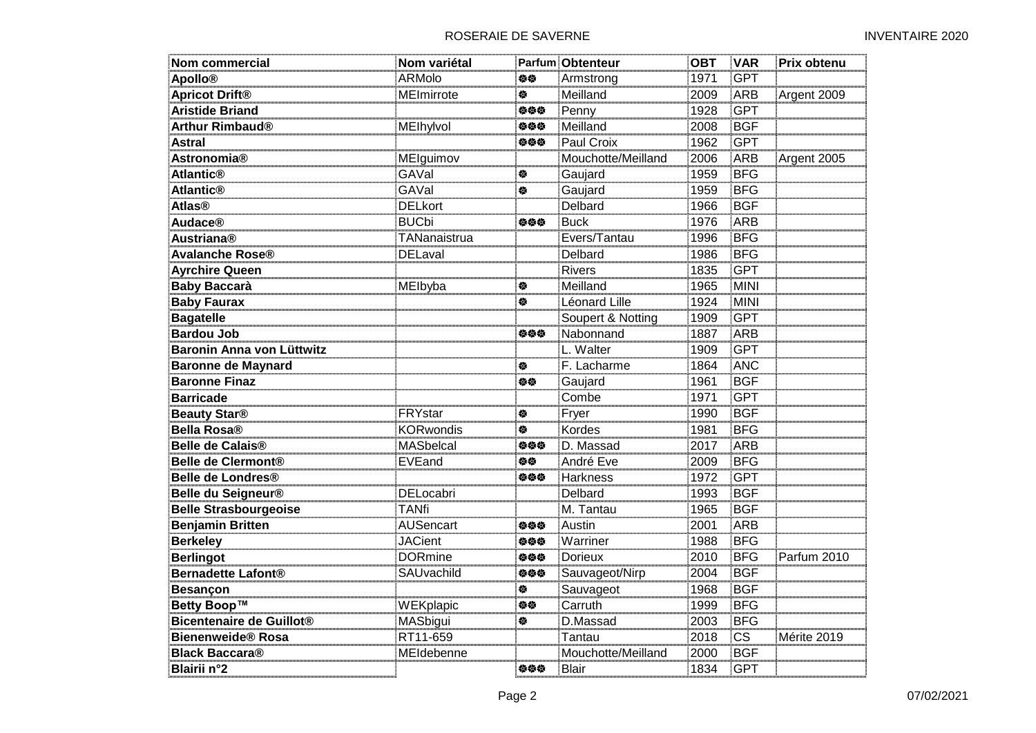| Nom commercial                  | Nom variétal     |     | <b>Parfum Obtenteur</b> | <b>OBT</b> | <b>VAR</b>             | Prix obtenu |
|---------------------------------|------------------|-----|-------------------------|------------|------------------------|-------------|
| <b>Apollo®</b>                  | ARMolo           | 检验  | Armstrong               | 1971       | <b>GPT</b>             |             |
| <b>Apricot Drift®</b>           | MEImirrote       | 橀   | Meilland                | 2009       | <b>ARB</b>             | Argent 2009 |
| <b>Aristide Briand</b>          |                  | 姿姿姿 | Penny                   | 1928       | <b>GPT</b>             |             |
| <b>Arthur Rimbaud®</b>          | MElhylvol        | 姿姿姿 | Meilland                | 2008       | <b>BGF</b>             |             |
| <b>Astral</b>                   |                  | 姿姿姿 | Paul Croix              | 1962       | <b>GPT</b>             |             |
| <b>Astronomia®</b>              | MElguimov        |     | Mouchotte/Meilland      | 2006       | ARB                    | Argent 2005 |
| <b>Atlantic<sup>®</sup></b>     | GAVal            | 傪   | Gaujard                 | 1959       | <b>BFG</b>             |             |
| <b>Atlantic<sup>®</sup></b>     | GAVal            | 傪   | Gaujard                 | 1959       | <b>BFG</b>             |             |
| <b>Atlas<sup>®</sup></b>        | <b>DELkort</b>   |     | Delbard                 | 1966       | <b>BGF</b>             |             |
| <b>Audace®</b>                  | <b>BUCbi</b>     | 姿姿姿 | <b>Buck</b>             | 1976       | <b>ARB</b>             |             |
| <b>Austriana®</b>               | TANanaistrua     |     | Evers/Tantau            | 1996       | <b>BFG</b>             |             |
| <b>Avalanche Rose®</b>          | <b>DELaval</b>   |     | Delbard                 | 1986       | <b>BFG</b>             |             |
| <b>Ayrchire Queen</b>           |                  |     | <b>Rivers</b>           | 1835       | <b>GPT</b>             |             |
| <b>Baby Baccarà</b>             | MElbyba          | ਣ   | Meilland                | 1965       | <b>MINI</b>            |             |
| <b>Baby Faurax</b>              |                  | 检   | Léonard Lille           | 1924       | MINI                   |             |
| <b>Bagatelle</b>                |                  |     | Soupert & Notting       | 1909       | <b>GPT</b>             |             |
| <b>Bardou Job</b>               |                  | 姿姿姿 | Nabonnand               | 1887       | ARB                    |             |
| Baronin Anna von Lüttwitz       |                  |     | L. Walter               | 1909       | <b>GPT</b>             |             |
| <b>Baronne de Maynard</b>       |                  | 傪   | F. Lacharme             | 1864       | <b>ANC</b>             |             |
| <b>Baronne Finaz</b>            |                  | 旋旋  | Gaujard                 | 1961       | <b>BGF</b>             |             |
| <b>Barricade</b>                |                  |     | Combe                   | 1971       | <b>GPT</b>             |             |
| <b>Beauty Star®</b>             | FRYstar          | 餋   | Fryer                   | 1990       | <b>BGF</b>             |             |
| <b>Bella Rosa®</b>              | <b>KORwondis</b> | ਣ   | Kordes                  | 1981       | <b>BFG</b>             |             |
| <b>Belle de Calais®</b>         | <b>MASbelcal</b> | 姿姿姿 | D. Massad               | 2017       | ARB                    |             |
| Belle de Clermont <sup>®</sup>  | EVEand           | 姿姿  | André Eve               | 2009       | <b>BFG</b>             |             |
| <b>Belle de Londres®</b>        |                  | 姿姿姿 | Harkness                | 1972       | <b>GPT</b>             |             |
| Belle du Seigneur®              | DELocabri        |     | Delbard                 | 1993       | <b>BGF</b>             |             |
| <b>Belle Strasbourgeoise</b>    | <b>TANfi</b>     |     | M. Tantau               | 1965       | <b>BGF</b>             |             |
| <b>Benjamin Britten</b>         | AUSencart        | 姿姿姿 | Austin                  | 2001       | ARB                    |             |
| <b>Berkeley</b>                 | <b>JACient</b>   | 姿姿姿 | Warriner                | 1988       | <b>BFG</b>             |             |
| <b>Berlingot</b>                | <b>DORmine</b>   | 姿姿姿 | <b>Dorieux</b>          | 2010       | <b>BFG</b>             | Parfum 2010 |
| <b>Bernadette Lafont®</b>       | SAUvachild       | 姿姿姿 | Sauvageot/Nirp          | 2004       | <b>BGF</b>             |             |
| <b>Besançon</b>                 |                  | 穆   | Sauvageot               | 1968       | <b>BGF</b>             |             |
| Betty Boop™                     | WEKplapic        | 姿姿  | Carruth                 | 1999       | <b>BFG</b>             |             |
| <b>Bicentenaire de Guillot®</b> | MASbigui         | ਣ   | D.Massad                | 2003       | <b>BFG</b>             |             |
| <b>Bienenweide® Rosa</b>        | RT11-659         |     | Tantau                  | 2018       | $\overline{\text{cs}}$ | Mérite 2019 |
| <b>Black Baccara®</b>           | MEIdebenne       |     | Mouchotte/Meilland      | 2000       | <b>BGF</b>             |             |
| <b>Blairii</b> n°2              |                  | 姿姿姿 | Blair                   | 1834       | <b>GPT</b>             |             |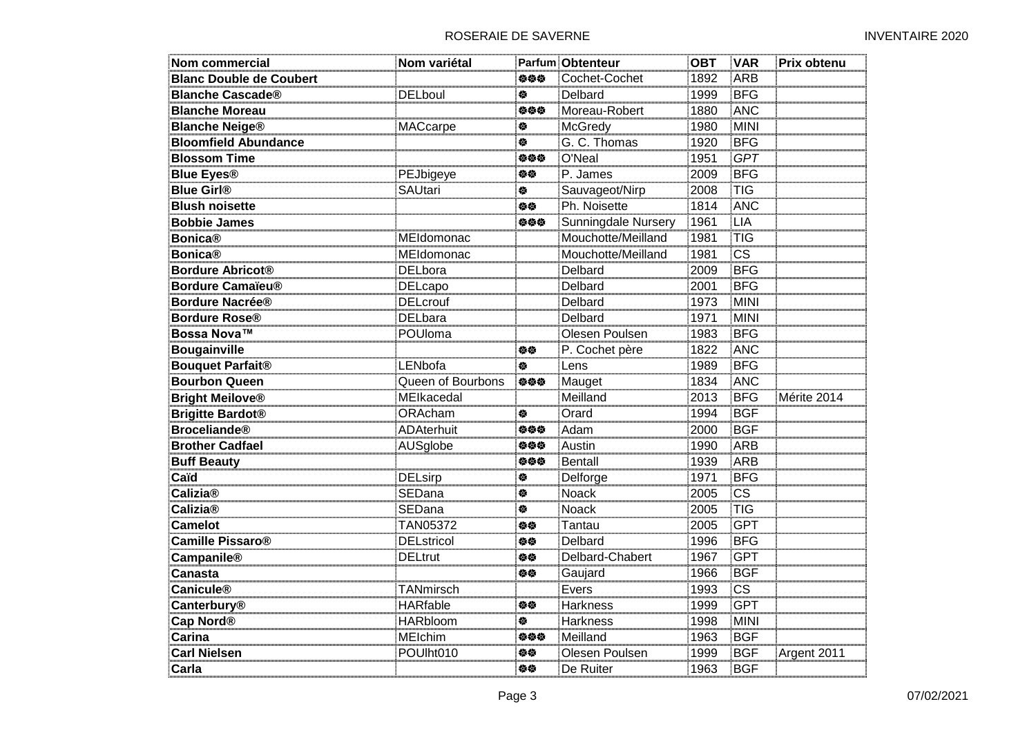| <b>Nom commercial</b>          | Nom variétal      |                             | <b>Parfum Obtenteur</b> | <b>OBT</b> | <b>VAR</b>             | Prix obtenu |
|--------------------------------|-------------------|-----------------------------|-------------------------|------------|------------------------|-------------|
| <b>Blanc Double de Coubert</b> |                   | 姿姿姿                         | Cochet-Cochet           | 1892       | ARB                    |             |
| <b>Blanche Cascade®</b>        | <b>DELboul</b>    | 餋                           | Delbard                 | 1999       | <b>BFG</b>             |             |
| <b>Blanche Moreau</b>          |                   | 绝位位                         | Moreau-Robert           | 1880       | ANC                    |             |
| <b>Blanche Neige®</b>          | <b>MACcarpe</b>   | 穆                           | McGredy                 | 1980       | <b>MINI</b>            |             |
| <b>Bloomfield Abundance</b>    |                   | 穆                           | G. C. Thomas            | 1920       | <b>BFG</b>             |             |
| <b>Blossom Time</b>            |                   | 姿姿姿                         | O'Neal                  | 1951       | <b>GPT</b>             |             |
| <b>Blue Eyes®</b>              | PEJbigeye         | 姿态                          | P. James                | 2009       | <b>BFG</b>             |             |
| <b>Blue Girl®</b>              | <b>SAUtari</b>    | 俊                           | Sauvageot/Nirp          | 2008       | <b>TIG</b>             |             |
| <b>Blush noisette</b>          |                   | 白德                          | Ph. Noisette            | 1814       | ANC                    |             |
| <b>Bobbie James</b>            |                   | 姿姿姿                         | Sunningdale Nursery     | 1961       | <b>LIA</b>             |             |
| <b>Bonica®</b>                 | MEIdomonac        |                             | Mouchotte/Meilland      | 1981       | <b>TIG</b>             |             |
| <b>Bonica®</b>                 | MEIdomonac        |                             | Mouchotte/Meilland      | 1981       | $\overline{\text{cs}}$ |             |
| <b>Bordure Abricot®</b>        | <b>DELbora</b>    |                             | Delbard                 | 2009       | <b>BFG</b>             |             |
| <b>Bordure Camaïeu®</b>        | DELcapo           |                             | Delbard                 | 2001       | <b>BFG</b>             |             |
| <b>Bordure Nacrée®</b>         | <b>DELcrouf</b>   |                             | Delbard                 | 1973       | MINI                   |             |
| <b>Bordure Rose®</b>           | <b>DELbara</b>    |                             | <b>Delbard</b>          | 1971       | <b>MINI</b>            |             |
| Bossa Nova™                    | POUloma           |                             | Olesen Poulsen          | 1983       | <b>BFG</b>             |             |
| <b>Bougainville</b>            |                   | 白德                          | P. Cochet père          | 1822       | <b>ANC</b>             |             |
| <b>Bouquet Parfait®</b>        | LENbofa           | $\mathcal{L}_{\mathcal{R}}$ | Lens                    | 1989       | <b>BFG</b>             |             |
| <b>Bourbon Queen</b>           | Queen of Bourbons | 参参参                         | Mauget                  | 1834       | ANC                    |             |
| <b>Bright Meilove®</b>         | MEIkacedal        |                             | Meilland                | 2013       | <b>BFG</b>             | Mérite 2014 |
| <b>Brigitte Bardot®</b>        | ORAcham           | 傪                           | Orard                   | 1994       | <b>BGF</b>             |             |
| <b>Broceliande®</b>            | <b>ADAterhuit</b> | 姿姿姿                         | Adam                    | 2000       | <b>BGF</b>             |             |
| <b>Brother Cadfael</b>         | AUSglobe          | 姿姿姿                         | Austin                  | 1990       | ARB                    |             |
| <b>Buff Beauty</b>             |                   | 姿姿姿                         | <b>Bentall</b>          | 1939       | ARB                    |             |
| Caïd                           | <b>DELsirp</b>    | 餋                           | Delforge                | 1971       | <b>BFG</b>             |             |
| <b>Calizia®</b>                | SEDana            | 穆                           | Noack                   | 2005       | <b>CS</b>              |             |
| <b>Calizia®</b>                | SEDana            | 穆                           | Noack                   | 2005       | <b>TIG</b>             |             |
| <b>Camelot</b>                 | TAN05372          | 姿态                          | Tantau                  | 2005       | <b>GPT</b>             |             |
| <b>Camille Pissaro®</b>        | <b>DELstricol</b> | 姿姿                          | <b>Delbard</b>          | 1996       | <b>BFG</b>             |             |
| Campanile®                     | <b>DELtrut</b>    | 伯位                          | Delbard-Chabert         | 1967       | <b>GPT</b>             |             |
| <b>Canasta</b>                 |                   | 旋旋                          | Gaujard                 | 1966       | <b>BGF</b>             |             |
| <b>Canicule®</b>               | TANmirsch         |                             | Evers                   | 1993       | $\overline{\text{cs}}$ |             |
| Canterbury®                    | <b>HARfable</b>   | 伯位                          | Harkness                | 1999       | <b>GPT</b>             |             |
| Cap Nord <sup>®</sup>          | <b>HARbloom</b>   | 餋                           | <b>Harkness</b>         | 1998       | <b>MINI</b>            |             |
| Carina                         | <b>MEIchim</b>    | 负负负                         | Meilland                | 1963       | <b>BGF</b>             |             |
| <b>Carl Nielsen</b>            | POUIht010         | 旋旋                          | Olesen Poulsen          | 1999       | <b>BGF</b>             | Argent 2011 |
| Carla                          |                   | 姿姿                          | De Ruiter               | 1963       | BGF                    |             |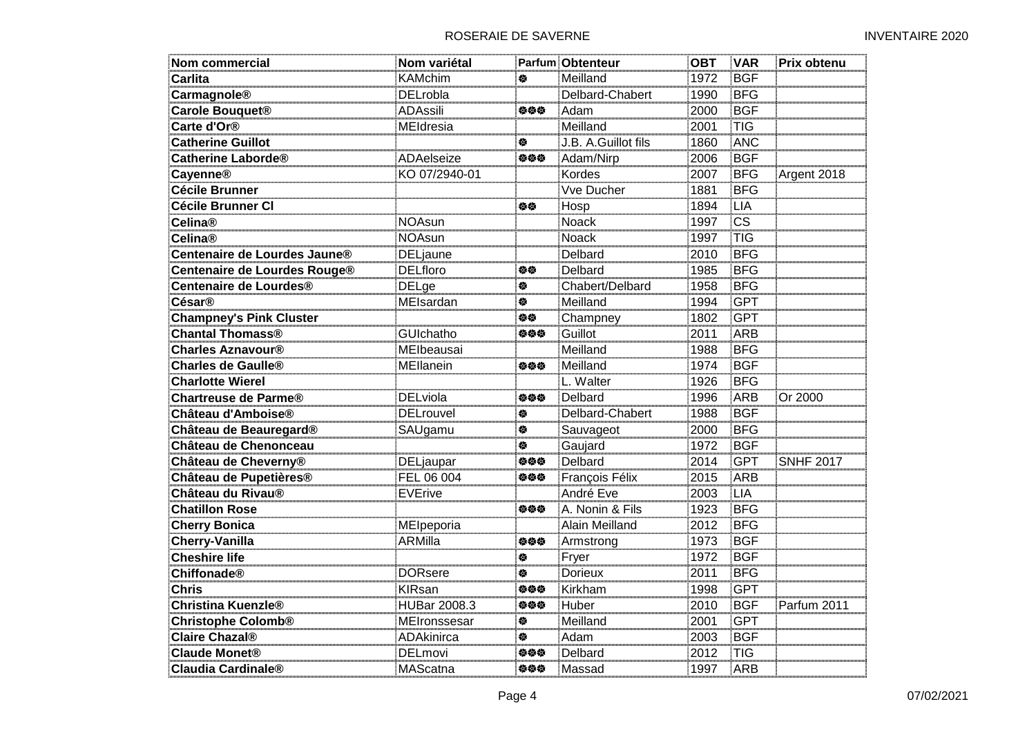| <b>Nom commercial</b>              | Nom variétal        |     | <b>Parfum Obtenteur</b> | <b>OBT</b> | <b>VAR</b> | Prix obtenu      |
|------------------------------------|---------------------|-----|-------------------------|------------|------------|------------------|
| <b>Carlita</b>                     | <b>KAMchim</b>      | 参   | Meilland                | 1972       | <b>BGF</b> |                  |
| Carmagnole®                        | <b>DELrobla</b>     |     | Delbard-Chabert         | 1990       | <b>BFG</b> |                  |
| Carole Bouquet <sup>®</sup>        | <b>ADAssili</b>     | 伯伯伯 | Adam                    | 2000       | <b>BGF</b> |                  |
| Carte d'Or <sup>®</sup>            | MEIdresia           |     | Meilland                | 2001       | <b>TIG</b> |                  |
| <b>Catherine Guillot</b>           |                     | 参   | J.B. A.Guillot fils     | 1860       | <b>ANC</b> |                  |
| <b>Catherine Laborde®</b>          | ADAelseize          | 姿姿姿 | Adam/Nirp               | 2006       | <b>BGF</b> |                  |
| <b>Cayenne®</b>                    | KO 07/2940-01       |     | Kordes                  | 2007       | <b>BFG</b> | Argent 2018      |
| <b>Cécile Brunner</b>              |                     |     | Vve Ducher              | 1881       | <b>BFG</b> |                  |
| Cécile Brunner CI                  |                     | 伯位  | Hosp                    | 1894       | <b>LIA</b> |                  |
| <b>Celina®</b>                     | <b>NOAsun</b>       |     | <b>Noack</b>            | 1997       | CS         |                  |
| <b>Celina®</b>                     | <b>NOAsun</b>       |     | <b>Noack</b>            | 1997       | <b>TIG</b> |                  |
| Centenaire de Lourdes Jaune®       | <b>DELjaune</b>     |     | Delbard                 | 2010       | <b>BFG</b> |                  |
| Centenaire de Lourdes Rouge®       | <b>DELfloro</b>     | 旋旋  | Delbard                 | 1985       | <b>BFG</b> |                  |
| Centenaire de Lourdes <sup>®</sup> | <b>DELge</b>        | 餋   | Chabert/Delbard         | 1958       | <b>BFG</b> |                  |
| <b>César®</b>                      | MEIsardan           | 橀   | Meilland                | 1994       | <b>GPT</b> |                  |
| <b>Champney's Pink Cluster</b>     |                     | 白德  | Champney                | 1802       | <b>GPT</b> |                  |
| <b>Chantal Thomass®</b>            | GUIchatho           | 姿姿姿 | Guillot                 | 2011       | <b>ARB</b> |                  |
| <b>Charles Aznavour®</b>           | MElbeausai          |     | Meilland                | 1988       | BFG        |                  |
| <b>Charles de Gaulle®</b>          | MEllanein           | 姿姿姿 | Meilland                | 1974       | <b>BGF</b> |                  |
| <b>Charlotte Wierel</b>            |                     |     | L. Walter               | 1926       | <b>BFG</b> |                  |
| <b>Chartreuse de Parme®</b>        | <b>DELviola</b>     | 绝位位 | Delbard                 | 1996       | ARB        | Or 2000          |
| Château d'Amboise®                 | <b>DELrouvel</b>    | 傪   | Delbard-Chabert         | 1988       | <b>BGF</b> |                  |
| Château de Beauregard®             | SAUgamu             | 傪   | Sauvageot               | 2000       | <b>BFG</b> |                  |
| Château de Chenonceau              |                     | ♦   | Gaujard                 | 1972       | <b>BGF</b> |                  |
| Château de Cheverny®               | DELjaupar           | 姿姿姿 | Delbard                 | 2014       | <b>GPT</b> | <b>SNHF 2017</b> |
| Château de Pupetières®             | FEL 06 004          | 姿姿姿 | François Félix          | 2015       | ARB        |                  |
| Château du Rivau <sup>®</sup>      | <b>EVErive</b>      |     | André Eve               | 2003       | LIA        |                  |
| <b>Chatillon Rose</b>              |                     | 伯伯伯 | A. Nonin & Fils         | 1923       | <b>BFG</b> |                  |
| <b>Cherry Bonica</b>               | MEIpeporia          |     | Alain Meilland          | 2012       | <b>BFG</b> |                  |
| <b>Cherry-Vanilla</b>              | ARMilla             | 姿姿姿 | Armstrong               | 1973       | <b>BGF</b> |                  |
| <b>Cheshire life</b>               |                     | 傪   | Fryer                   | 1972       | <b>BGF</b> |                  |
| Chiffonade®                        | <b>DORsere</b>      | 参   | <b>Dorieux</b>          | 2011       | <b>BFG</b> |                  |
| <b>Chris</b>                       | <b>KIRsan</b>       | 姿姿姿 | Kirkham                 | 1998       | GPT        |                  |
| <b>Christina Kuenzle®</b>          | <b>HUBar 2008.3</b> | 姿姿姿 | Huber                   | 2010       | <b>BGF</b> | Parfum 2011      |
| <b>Christophe Colomb®</b>          | MEIronssesar        | ♦   | Meilland                | 2001       | <b>GPT</b> |                  |
| <b>Claire Chazal®</b>              | ADAkinirca          | 参   | Adam                    | 2003       | <b>BGF</b> |                  |
| <b>Claude Monet®</b>               | <b>DELmovi</b>      | 姿姿姿 | Delbard                 | 2012       | <b>TIG</b> |                  |
| <b>Claudia Cardinale®</b>          | MAScatna            | 姿姿姿 | Massad                  | 1997       | <b>ARB</b> |                  |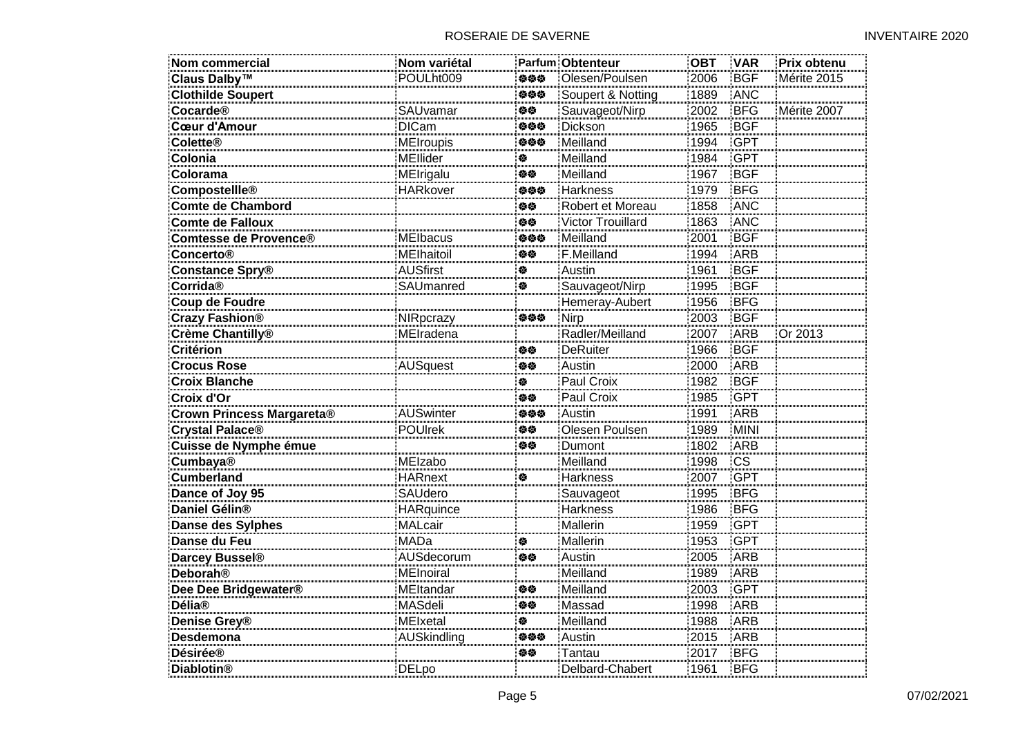| <b>Nom commercial</b>            | Nom variétal       |     | <b>Parfum Obtenteur</b> | <b>OBT</b> | <b>VAR</b>             | Prix obtenu |
|----------------------------------|--------------------|-----|-------------------------|------------|------------------------|-------------|
| Claus Dalby <sup>™</sup>         | POULht009          | 负负负 | Olesen/Poulsen          | 2006       | <b>BGF</b>             | Mérite 2015 |
| <b>Clothilde Soupert</b>         |                    | 参参参 | Soupert & Notting       | 1889       | <b>ANC</b>             |             |
| <b>Cocarde®</b>                  | SAUvamar           | 旋旋  | Sauvageot/Nirp          | 2002       | <b>BFG</b>             | Mérite 2007 |
| <b>Cœur d'Amour</b>              | <b>DICam</b>       | 姿姿姿 | <b>Dickson</b>          | 1965       | <b>BGF</b>             |             |
| <b>Colette®</b>                  | <b>MEIroupis</b>   | 姿姿姿 | Meilland                | 1994       | <b>GPT</b>             |             |
| Colonia                          | MEllider           | 餋   | Meilland                | 1984       | <b>GPT</b>             |             |
| Colorama                         | MEIrigalu          | 姿姿  | Meilland                | 1967       | <b>BGF</b>             |             |
| Compostellle®                    | <b>HARkover</b>    | 负负负 | <b>Harkness</b>         | 1979       | <b>BFG</b>             |             |
| <b>Comte de Chambord</b>         |                    | 姿姿  | Robert et Moreau        | 1858       | <b>ANC</b>             |             |
| <b>Comte de Falloux</b>          |                    | 伯位  | Victor Trouillard       | 1863       | ANC                    |             |
| Comtesse de Provence®            | MElbacus           | 姿姿姿 | Meilland                | 2001       | <b>BGF</b>             |             |
| <b>Concerto®</b>                 | MElhaitoil         | 旋旋  | F.Meilland              | 1994       | <b>ARB</b>             |             |
| <b>Constance Spry®</b>           | <b>AUSfirst</b>    | ₩   | Austin                  | 1961       | <b>BGF</b>             |             |
| Corrida®                         | SAUmanred          | 傪   | Sauvageot/Nirp          | 1995       | <b>BGF</b>             |             |
| <b>Coup de Foudre</b>            |                    |     | Hemeray-Aubert          | 1956       | <b>BFG</b>             |             |
| <b>Crazy Fashion®</b>            | NIRpcrazy          | 负负负 | Nirp                    | 2003       | <b>BGF</b>             |             |
| Crème Chantilly <sup>®</sup>     | MEIradena          |     | Radler/Meilland         | 2007       | ARB                    | Or 2013     |
| <b>Critérion</b>                 |                    | 旋旋  | <b>DeRuiter</b>         | 1966       | <b>BGF</b>             |             |
| <b>Crocus Rose</b>               | AUSquest           | 修修  | Austin                  | 2000       | ARB                    |             |
| <b>Croix Blanche</b>             |                    | ₩   | Paul Croix              | 1982       | <b>BGF</b>             |             |
| Croix d'Or                       |                    | 伯位  | Paul Croix              | 1985       | <b>GPT</b>             |             |
| <b>Crown Princess Margareta®</b> | <b>AUSwinter</b>   | 伯伯伯 | Austin                  | 1991       | ARB                    |             |
| <b>Crystal Palace®</b>           | <b>POUIrek</b>     | 修修  | Olesen Poulsen          | 1989       | <b>MINI</b>            |             |
| Cuisse de Nymphe émue            |                    | 伯位  | Dumont                  | 1802       | <b>ARB</b>             |             |
| <b>Cumbaya®</b>                  | <b>MEIzabo</b>     |     | Meilland                | 1998       | $\overline{\text{cs}}$ |             |
| <b>Cumberland</b>                | <b>HARnext</b>     | 傪   | <b>Harkness</b>         | 2007       | <b>GPT</b>             |             |
| Dance of Joy 95                  | SAUdero            |     | Sauvageot               | 1995       | <b>BFG</b>             |             |
| Daniel Gélin <sup>®</sup>        | <b>HARquince</b>   |     | <b>Harkness</b>         | 1986       | <b>BFG</b>             |             |
| Danse des Sylphes                | <b>MALcair</b>     |     | Mallerin                | 1959       | <b>GPT</b>             |             |
| Danse du Feu                     | <b>MADa</b>        | 餋   | Mallerin                | 1953       | <b>GPT</b>             |             |
| Darcey Bussel <sup>®</sup>       | AUSdecorum         | 修修  | Austin                  | 2005       | ARB                    |             |
| <b>Deborah®</b>                  | MEInoiral          |     | Meilland                | 1989       | ARB                    |             |
| Dee Dee Bridgewater®             | MEltandar          | 伯位  | Meilland                | 2003       | <b>GPT</b>             |             |
| <b>Délia®</b>                    | <b>MASdeli</b>     | 修修  | Massad                  | 1998       | ARB                    |             |
| Denise Grey <sup>®</sup>         | <b>MEIxetal</b>    | 餋   | Meilland                | 1988       | ARB                    |             |
| <b>Desdemona</b>                 | <b>AUSkindling</b> | 姿姿姿 | Austin                  | 2015       | <b>ARB</b>             |             |
| <b>Désirée®</b>                  |                    | 旋旋  | Tantau                  | 2017       | <b>BFG</b>             |             |
| <b>Diablotin®</b>                | <b>DELpo</b>       |     | Delbard-Chabert         | 1961       | <b>BFG</b>             |             |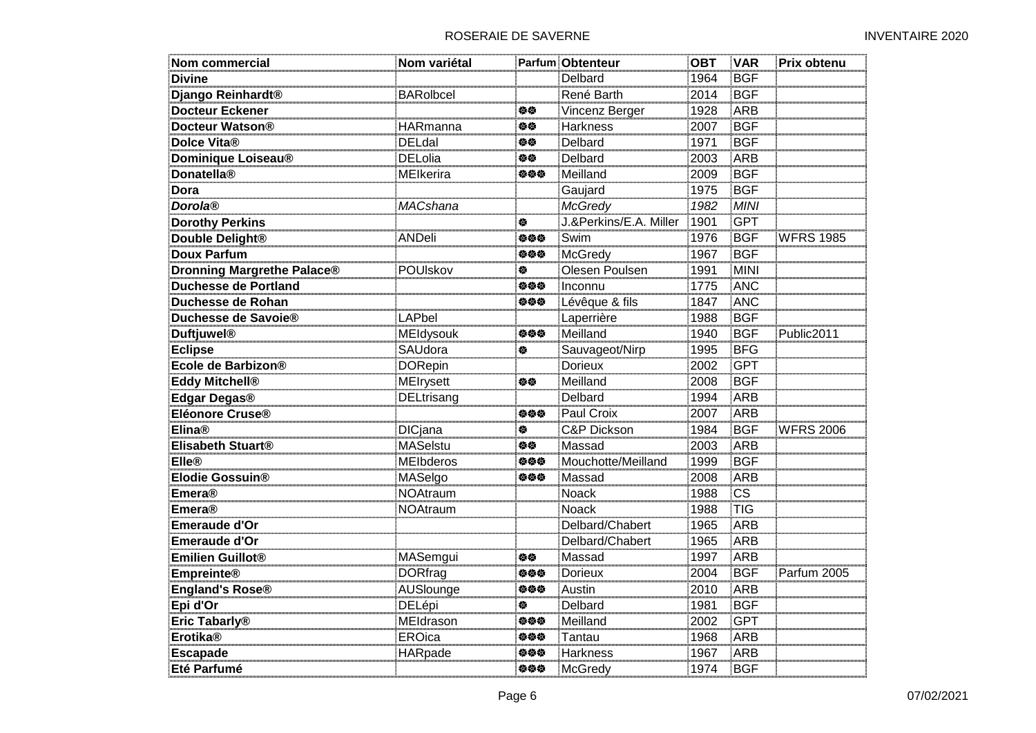| <b>Nom commercial</b>             | Nom variétal     |     | Parfum Obtenteur       | <b>OBT</b> | <b>VAR</b>  | Prix obtenu      |
|-----------------------------------|------------------|-----|------------------------|------------|-------------|------------------|
| <b>Divine</b>                     |                  |     | Delbard                | 1964       | <b>BGF</b>  |                  |
| Django Reinhardt <sup>®</sup>     | <b>BARolbcel</b> |     | René Barth             | 2014       | <b>BGF</b>  |                  |
| <b>Docteur Eckener</b>            |                  | 伯位  | Vincenz Berger         | 1928       | ARB         |                  |
| Docteur Watson®                   | <b>HARmanna</b>  | 修修  | <b>Harkness</b>        | 2007       | <b>BGF</b>  |                  |
| Dolce Vita®                       | <b>DELdal</b>    | 姿态  | Delbard                | 1971       | <b>BGF</b>  |                  |
| Dominique Loiseau®                | <b>DELolia</b>   | 修修  | Delbard                | 2003       | ARB         |                  |
| <b>Donatella®</b>                 | <b>MEIkerira</b> | 姿姿姿 | Meilland               | 2009       | <b>BGF</b>  |                  |
| Dora                              |                  |     | Gaujard                | 1975       | <b>BGF</b>  |                  |
| <b>Dorola®</b>                    | MACshana         |     | <b>McGredy</b>         | 1982       | <b>MINI</b> |                  |
| <b>Dorothy Perkins</b>            |                  | 傪   | J.&Perkins/E.A. Miller | 1901       | <b>GPT</b>  |                  |
| Double Delight <sup>®</sup>       | <b>ANDeli</b>    | 姿姿姿 | Swim                   | 1976       | <b>BGF</b>  | <b>WFRS 1985</b> |
| <b>Doux Parfum</b>                |                  | 姿姿姿 | McGredy                | 1967       | <b>BGF</b>  |                  |
| <b>Dronning Margrethe Palace®</b> | POUIskov         | 俊   | Olesen Poulsen         | 1991       | MINI        |                  |
| <b>Duchesse de Portland</b>       |                  | 姿姿姿 | Inconnu                | 1775       | <b>ANC</b>  |                  |
| Duchesse de Rohan                 |                  | 负负负 | Lévêque & fils         | 1847       | <b>ANC</b>  |                  |
| Duchesse de Savoie®               | LAPbel           |     | Laperrière             | 1988       | <b>BGF</b>  |                  |
| <b>Duftjuwel®</b>                 | <b>MEIdysouk</b> | 负负负 | Meilland               | 1940       | <b>BGF</b>  | Public2011       |
| <b>Eclipse</b>                    | SAUdora          | 俊   | Sauvageot/Nirp         | 1995       | <b>BFG</b>  |                  |
| Ecole de Barbizon®                | <b>DORepin</b>   |     | <b>Dorieux</b>         | 2002       | <b>GPT</b>  |                  |
| <b>Eddy Mitchell®</b>             | <b>MEIrysett</b> | 旋旋  | Meilland               | 2008       | <b>BGF</b>  |                  |
| Edgar Degas®                      | DELtrisang       |     | Delbard                | 1994       | ARB         |                  |
| Eléonore Cruse®                   |                  | 负负负 | Paul Croix             | 2007       | ARB         |                  |
| <b>Elina®</b>                     | <b>DICjana</b>   | 俊   | <b>C&amp;P Dickson</b> | 1984       | <b>BGF</b>  | <b>WFRS 2006</b> |
| Elisabeth Stuart <sup>®</sup>     | <b>MASelstu</b>  | 修修  | Massad                 | 2003       | <b>ARB</b>  |                  |
| <b>Elle®</b>                      | <b>MEIbderos</b> | 负负负 | Mouchotte/Meilland     | 1999       | <b>BGF</b>  |                  |
| Elodie Gossuin®                   | MASelgo          | 姿姿姿 | Massad                 | 2008       | <b>ARB</b>  |                  |
| <b>Emera®</b>                     | NOAtraum         |     | Noack                  | 1988       | <b>CS</b>   |                  |
| <b>Emera®</b>                     | <b>NOAtraum</b>  |     | <b>Noack</b>           | 1988       | <b>TIG</b>  |                  |
| Emeraude d'Or                     |                  |     | Delbard/Chabert        | 1965       | ARB         |                  |
| Emeraude d'Or                     |                  |     | Delbard/Chabert        | 1965       | ARB         |                  |
| <b>Emilien Guillot®</b>           | MASemgui         | 修修  | Massad                 | 1997       | <b>ARB</b>  |                  |
| <b>Empreinte®</b>                 | <b>DORfrag</b>   | 负负负 | <b>Dorieux</b>         | 2004       | <b>BGF</b>  | Parfum 2005      |
| England's Rose®                   | AUSlounge        | 姿姿姿 | Austin                 | 2010       | ARB         |                  |
| Epi d'Or                          | DELépi           | 俊   | Delbard                | 1981       | <b>BGF</b>  |                  |
| Eric Tabarly <sup>®</sup>         | MEldrason        | 负负负 | Meilland               | 2002       | <b>GPT</b>  |                  |
| <b>Erotika®</b>                   | <b>EROica</b>    | 姿姿姿 | Tantau                 | 1968       | <b>ARB</b>  |                  |
| <b>Escapade</b>                   | <b>HARpade</b>   | 姿姿姿 | <b>Harkness</b>        | 1967       | <b>ARB</b>  |                  |
| Eté Parfumé                       |                  | 姿姿姿 | McGredy                | 1974       | BGF         |                  |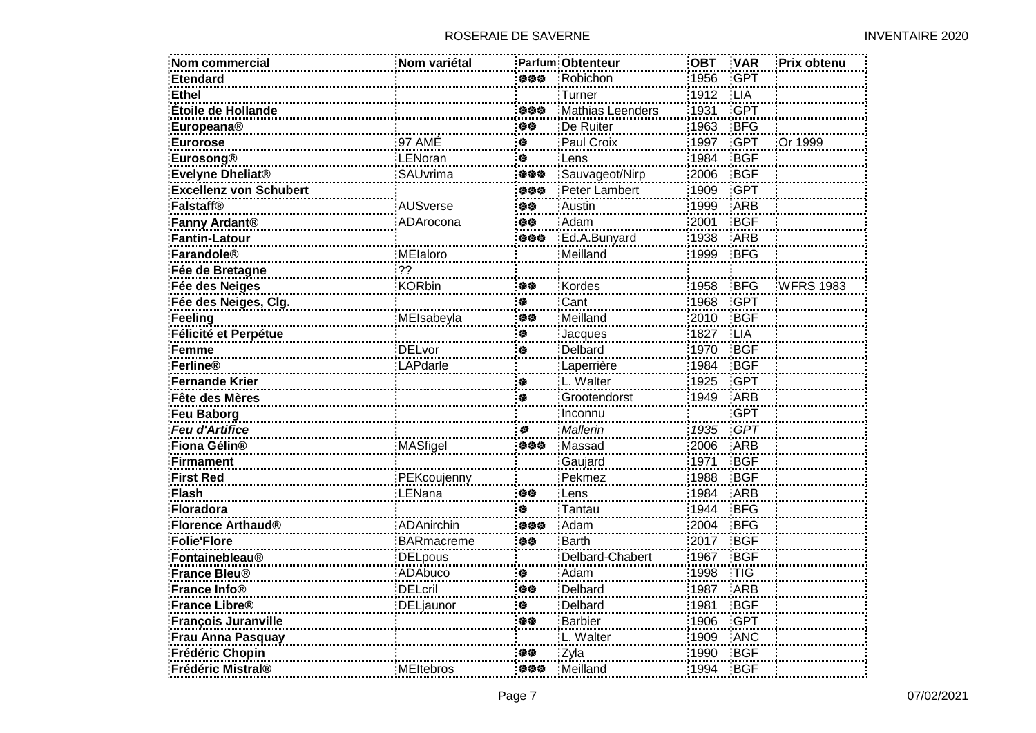| Nom commercial                | Nom variétal      |     | Parfum Obtenteur | <b>OBT</b> | <b>VAR</b> | Prix obtenu      |
|-------------------------------|-------------------|-----|------------------|------------|------------|------------------|
| <b>Etendard</b>               |                   | 姿姿姿 | Robichon         | 1956       | <b>GPT</b> |                  |
| <b>Ethel</b>                  |                   |     | Turner           | 1912       | <b>LIA</b> |                  |
| Étoile de Hollande            |                   | 伯伯伯 | Mathias Leenders | 1931       | <b>GPT</b> |                  |
| <b>Europeana®</b>             |                   | 姿姿  | De Ruiter        | 1963       | <b>BFG</b> |                  |
| <b>Eurorose</b>               | 97 AMÉ            | 穆   | Paul Croix       | 1997       | <b>GPT</b> | Or 1999          |
| <b>Eurosong®</b>              | LENoran           | 餋   | Lens             | 1984       | <b>BGF</b> |                  |
| Evelyne Dheliat <sup>®</sup>  | SAUvrima          | 姿姿姿 | Sauvageot/Nirp   | 2006       | <b>BGF</b> |                  |
| <b>Excellenz von Schubert</b> |                   | 姿姿姿 | Peter Lambert    | 1909       | <b>GPT</b> |                  |
| <b>Falstaff®</b>              | <b>AUSverse</b>   | 姿姿  | Austin           | 1999       | ARB        |                  |
| Fanny Ardant <sup>®</sup>     | ADArocona         | 姿姿  | Adam             | 2001       | <b>BGF</b> |                  |
| <b>Fantin-Latour</b>          |                   | 姿姿姿 | Ed.A.Bunyard     | 1938       | <b>ARB</b> |                  |
| Farandole®                    | MElaloro          |     | Meilland         | 1999       | <b>BFG</b> |                  |
| Fée de Bretagne               | 22                |     |                  |            |            |                  |
| Fée des Neiges                | <b>KORbin</b>     | 伯位  | Kordes           | 1958       | <b>BFG</b> | <b>WFRS 1983</b> |
| Fée des Neiges, Clg.          |                   | 傪   | Cant             | 1968       | <b>GPT</b> |                  |
| Feeling                       | MElsabeyla        | 修修  | Meilland         | 2010       | <b>BGF</b> |                  |
| Félicité et Perpétue          |                   | 餋   | Jacques          | 1827       | LIA        |                  |
| <b>Femme</b>                  | <b>DELvor</b>     | 穆   | <b>Delbard</b>   | 1970       | <b>BGF</b> |                  |
| Ferline®                      | LAPdarle          |     | Laperrière       | 1984       | <b>BGF</b> |                  |
| <b>Fernande Krier</b>         |                   | 穆   | L. Walter        | 1925       | <b>GPT</b> |                  |
| Fête des Mères                |                   | 泰   | Grootendorst     | 1949       | <b>ARB</b> |                  |
| Feu Baborg                    |                   |     | Inconnu          |            | <b>GPT</b> |                  |
| <b>Feu d'Artifice</b>         |                   | 参   | Mallerin         | 1935       | GPT        |                  |
| Fiona Gélin <sup>®</sup>      | MASfigel          | 姿姿姿 | Massad           | 2006       | <b>ARB</b> |                  |
| <b>Firmament</b>              |                   |     | Gaujard          | 1971       | <b>BGF</b> |                  |
| <b>First Red</b>              | PEKcoujenny       |     | Pekmez           | 1988       | <b>BGF</b> |                  |
| <b>Flash</b>                  | LENana            | 修修  | Lens             | 1984       | <b>ARB</b> |                  |
| Floradora                     |                   | 检   | Tantau           | 1944       | <b>BFG</b> |                  |
| Florence Arthaud <sup>®</sup> | <b>ADAnirchin</b> | 姿姿姿 | Adam             | 2004       | <b>BFG</b> |                  |
| <b>Folie'Flore</b>            | <b>BARmacreme</b> | 姿姿  | <b>Barth</b>     | 2017       | <b>BGF</b> |                  |
| <b>Fontainebleau®</b>         | <b>DELpous</b>    |     | Delbard-Chabert  | 1967       | <b>BGF</b> |                  |
| France Bleu®                  | ADAbuco           | 傪   | Adam             | 1998       | <b>TIG</b> |                  |
| France Info <sup>®</sup>      | <b>DELcril</b>    | 姿态  | Delbard          | 1987       | ARB        |                  |
| <b>France Libre®</b>          | DELjaunor         | 参   | Delbard          | 1981       | <b>BGF</b> |                  |
| <b>François Juranville</b>    |                   | 伯位  | <b>Barbier</b>   | 1906       | <b>GPT</b> |                  |
| <b>Frau Anna Pasquay</b>      |                   |     | L. Walter        | 1909       | <b>ANC</b> |                  |
| Frédéric Chopin               |                   | 旋旋  | Zyla             | 1990       | <b>BGF</b> |                  |
| Frédéric Mistral®             | MEltebros         | 参参参 | Meilland         | 1994       | <b>BGF</b> |                  |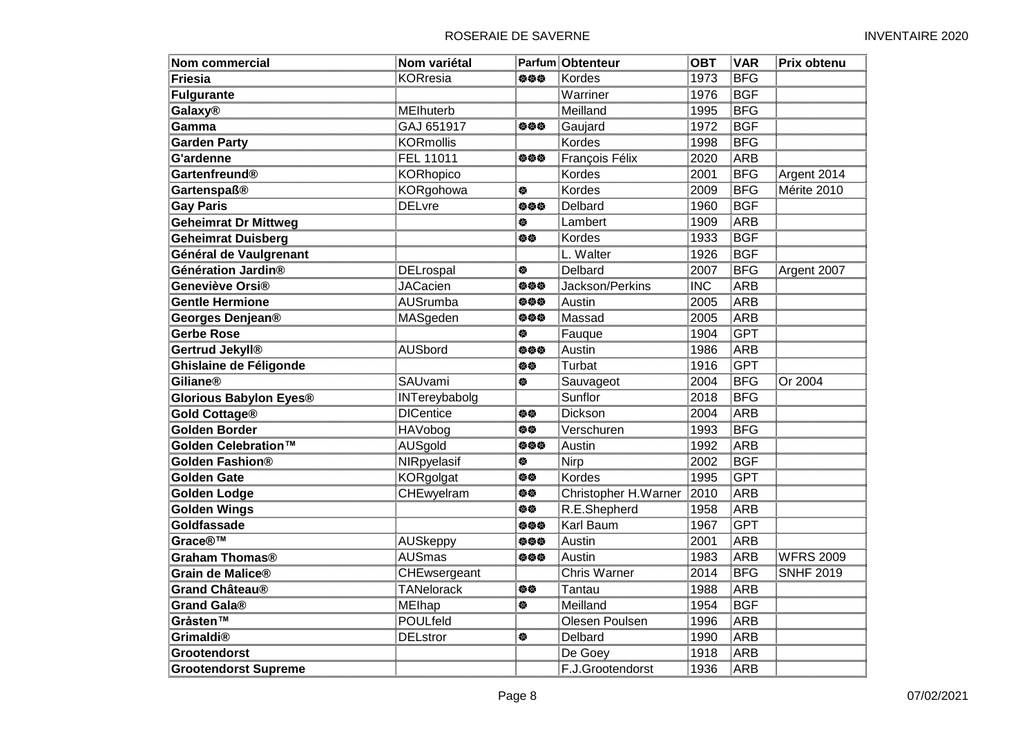| <b>Nom commercial</b>         | Nom variétal      |     | Parfum Obtenteur     | <b>OBT</b> | <b>VAR</b> | Prix obtenu      |
|-------------------------------|-------------------|-----|----------------------|------------|------------|------------------|
| <b>Friesia</b>                | <b>KORresia</b>   | 姿姿姿 | Kordes               | 1973       | <b>BFG</b> |                  |
| <b>Fulgurante</b>             |                   |     | Warriner             | 1976       | <b>BGF</b> |                  |
| <b>Galaxy®</b>                | MElhuterb         |     | Meilland             | 1995       | <b>BFG</b> |                  |
| Gamma                         | GAJ 651917        | 姿姿姿 | Gaujard              | 1972       | <b>BGF</b> |                  |
| <b>Garden Party</b>           | <b>KORmollis</b>  |     | Kordes               | 1998       | <b>BFG</b> |                  |
| <b>G'ardenne</b>              | FEL 11011         | 姿姿姿 | François Félix       | 2020       | ARB        |                  |
| Gartenfreund®                 | <b>KORhopico</b>  |     | Kordes               | 2001       | <b>BFG</b> | Argent 2014      |
| <b>Gartenspaß®</b>            | KORgohowa         | 傪   | Kordes               | 2009       | <b>BFG</b> | Mérite 2010      |
| <b>Gay Paris</b>              | <b>DELvre</b>     | 姿姿姿 | Delbard              | 1960       | <b>BGF</b> |                  |
| <b>Geheimrat Dr Mittweg</b>   |                   | 参   | Lambert              | 1909       | ARB        |                  |
| <b>Geheimrat Duisberg</b>     |                   | 俗称  | Kordes               | 1933       | <b>BGF</b> |                  |
| Général de Vaulgrenant        |                   |     | L. Walter            | 1926       | <b>BGF</b> |                  |
| Génération Jardin®            | DELrospal         | ♦   | Delbard              | 2007       | <b>BFG</b> | Argent 2007      |
| Geneviève Orsi®               | <b>JACacien</b>   | 姿姿姿 | Jackson/Perkins      | <b>INC</b> | <b>ARB</b> |                  |
| <b>Gentle Hermione</b>        | AUSrumba          | 姿姿姿 | Austin               | 2005       | ARB        |                  |
| Georges Denjean <sup>®</sup>  | MASgeden          | 姿姿姿 | Massad               | 2005       | ARB        |                  |
| Gerbe Rose                    |                   | 餋   | Fauque               | 1904       | <b>GPT</b> |                  |
| Gertrud Jekyll <sup>®</sup>   | <b>AUSbord</b>    | 姿姿姿 | Austin               | 1986       | <b>ARB</b> |                  |
| Ghislaine de Féligonde        |                   | 姿姿  | Turbat               | 1916       | <b>GPT</b> |                  |
| <b>Giliane®</b>               | SAUvami           | 餋   | Sauvageot            | 2004       | <b>BFG</b> | Or 2004          |
| <b>Glorious Babylon Eyes®</b> | INTereybabolg     |     | Sunflor              | 2018       | <b>BFG</b> |                  |
| Gold Cottage®                 | <b>DICentice</b>  | 伯位  | Dickson              | 2004       | ARB        |                  |
| Golden Border                 | <b>HAVobog</b>    | 旋旋  | Verschuren           | 1993       | <b>BFG</b> |                  |
| Golden Celebration™           | AUSgold           | 姿姿姿 | Austin               | 1992       | ARB        |                  |
| Golden Fashion®               | NIRpyelasif       | ♦   | Nirp                 | 2002       | <b>BGF</b> |                  |
| <b>Golden Gate</b>            | KORgolgat         | 伯位  | <b>Kordes</b>        | 1995       | <b>GPT</b> |                  |
| <b>Golden Lodge</b>           | CHEwyelram        | 伯位  | Christopher H.Warner | 2010       | <b>ARB</b> |                  |
| <b>Golden Wings</b>           |                   | 伯位  | R.E.Shepherd         | 1958       | ARB        |                  |
| Goldfassade                   |                   | 姿姿姿 | Karl Baum            | 1967       | <b>GPT</b> |                  |
| Grace <sup>®™</sup>           | <b>AUSkeppy</b>   | 姿姿姿 | Austin               | 2001       | <b>ARB</b> |                  |
| <b>Graham Thomas®</b>         | <b>AUSmas</b>     | 姿姿姿 | Austin               | 1983       | ARB        | <b>WFRS 2009</b> |
| Grain de Malice®              | CHEwsergeant      |     | <b>Chris Warner</b>  | 2014       | <b>BFG</b> | <b>SNHF 2019</b> |
| Grand Château <sup>®</sup>    | <b>TANelorack</b> | 白德  | Tantau               | 1988       | ARB        |                  |
| Grand Gala®                   | <b>MEIhap</b>     | 参   | Meilland             | 1954       | <b>BGF</b> |                  |
| Gråsten™                      | POULfeld          |     | Olesen Poulsen       | 1996       | ARB        |                  |
| Grimaldi <sup>®</sup>         | <b>DELstror</b>   | ♦   | Delbard              | 1990       | <b>ARB</b> |                  |
| <b>Grootendorst</b>           |                   |     | De Goey              | 1918       | ARB        |                  |
| <b>Grootendorst Supreme</b>   |                   |     | F.J.Grootendorst     | 1936       | <b>ARB</b> |                  |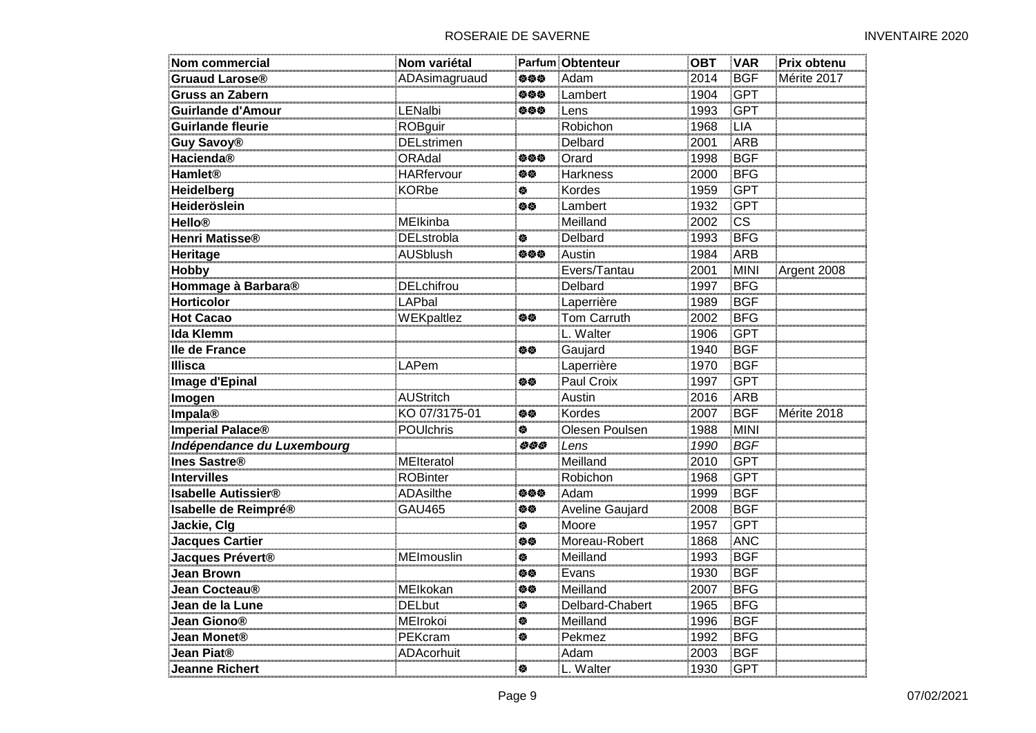| <b>Nom commercial</b>        | Nom variétal      |     | <b>Parfum Obtenteur</b> | <b>OBT</b> | <b>VAR</b>  | Prix obtenu |
|------------------------------|-------------------|-----|-------------------------|------------|-------------|-------------|
| Gruaud Larose <sup>®</sup>   | ADAsimagruaud     | 负负负 | Adam                    | 2014       | <b>BGF</b>  | Mérite 2017 |
| <b>Gruss an Zabern</b>       |                   | 参参参 | Lambert                 | 1904       | <b>GPT</b>  |             |
| <b>Guirlande d'Amour</b>     | LENalbi           | 姿姿姿 | Lens                    | 1993       | <b>GPT</b>  |             |
| <b>Guirlande fleurie</b>     | <b>ROBguir</b>    |     | Robichon                | 1968       | <b>LIA</b>  |             |
| <b>Guy Savoy®</b>            | <b>DELstrimen</b> |     | Delbard                 | 2001       | <b>ARB</b>  |             |
| Hacienda®                    | ORAdal            | 负负负 | Orard                   | 1998       | BGF         |             |
| <b>Hamlet®</b>               | <b>HARfervour</b> | 旋旋  | <b>Harkness</b>         | 2000       | <b>BFG</b>  |             |
| Heidelberg                   | <b>KORbe</b>      | 餋   | Kordes                  | 1959       | <b>GPT</b>  |             |
| Heideröslein                 |                   | 伯位  | Lambert                 | 1932       | <b>GPT</b>  |             |
| <b>Hello®</b>                | MEIkinba          |     | Meilland                | 2002       | <b>CS</b>   |             |
| Henri Matisse <sup>®</sup>   | <b>DELstrobla</b> | ♦   | Delbard                 | 1993       | <b>BFG</b>  |             |
| Heritage                     | <b>AUSblush</b>   | 姿姿姿 | Austin                  | 1984       | ARB         |             |
| <b>Hobby</b>                 |                   |     | Evers/Tantau            | 2001       | <b>MINI</b> | Argent 2008 |
| Hommage à Barbara®           | <b>DELchifrou</b> |     | Delbard                 | 1997       | <b>BFG</b>  |             |
| <b>Horticolor</b>            | LAPbal            |     | Laperrière              | 1989       | <b>BGF</b>  |             |
| <b>Hot Cacao</b>             | WEKpaltlez        | 伯位  | <b>Tom Carruth</b>      | 2002       | <b>BFG</b>  |             |
| Ida Klemm                    |                   |     | L. Walter               | 1906       | <b>GPT</b>  |             |
| lle de France                |                   | 修修  | Gaujard                 | 1940       | <b>BGF</b>  |             |
| <b>Illisca</b>               | LAPem             |     | Laperrière              | 1970       | <b>BGF</b>  |             |
| <b>Image d'Epinal</b>        |                   | 姿姿  | Paul Croix              | 1997       | <b>GPT</b>  |             |
| Imogen                       | <b>AUStritch</b>  |     | Austin                  | 2016       | ARB         |             |
| Impala®                      | KO 07/3175-01     | 旋旋  | Kordes                  | 2007       | <b>BGF</b>  | Mérite 2018 |
| Imperial Palace <sup>®</sup> | POUlchris         | ₩   | Olesen Poulsen          | 1988       | <b>MINI</b> |             |
| Indépendance du Luxembourg   |                   | 444 | Lens                    | 1990       | <b>BGF</b>  |             |
| <b>Ines Sastre®</b>          | MElteratol        |     | Meilland                | 2010       | <b>GPT</b>  |             |
| <b>Intervilles</b>           | <b>ROBinter</b>   |     | Robichon                | 1968       | <b>GPT</b>  |             |
| <b>Isabelle Autissier®</b>   | ADAsilthe         | 姿姿姿 | Adam                    | 1999       | <b>BGF</b>  |             |
| Isabelle de Reimpré®         | <b>GAU465</b>     | 修修  | <b>Aveline Gaujard</b>  | 2008       | <b>BGF</b>  |             |
| Jackie, Clg                  |                   | 餋   | Moore                   | 1957       | <b>GPT</b>  |             |
| <b>Jacques Cartier</b>       |                   | 修修  | Moreau-Robert           | 1868       | ANC         |             |
| Jacques Prévert®             | MEImouslin        | 参   | Meilland                | 1993       | <b>BGF</b>  |             |
| <b>Jean Brown</b>            |                   | 伯位  | Evans                   | 1930       | <b>BGF</b>  |             |
| Jean Cocteau <sup>®</sup>    | MEIkokan          | 姿态  | Meilland                | 2007       | <b>BFG</b>  |             |
| Jean de la Lune              | <b>DELbut</b>     | 餋   | Delbard-Chabert         | 1965       | <b>BFG</b>  |             |
| Jean Giono®                  | MEIrokoi          | 餋   | Meilland                | 1996       | <b>BGF</b>  |             |
| Jean Monet <sup>®</sup>      | PEKcram           | 餋   | Pekmez                  | 1992       | <b>BFG</b>  |             |
| Jean Piat <sup>®</sup>       | <b>ADAcorhuit</b> |     | Adam                    | 2003       | <b>BGF</b>  |             |
| <b>Jeanne Richert</b>        |                   | 傪   | L. Walter               | 1930       | <b>GPT</b>  |             |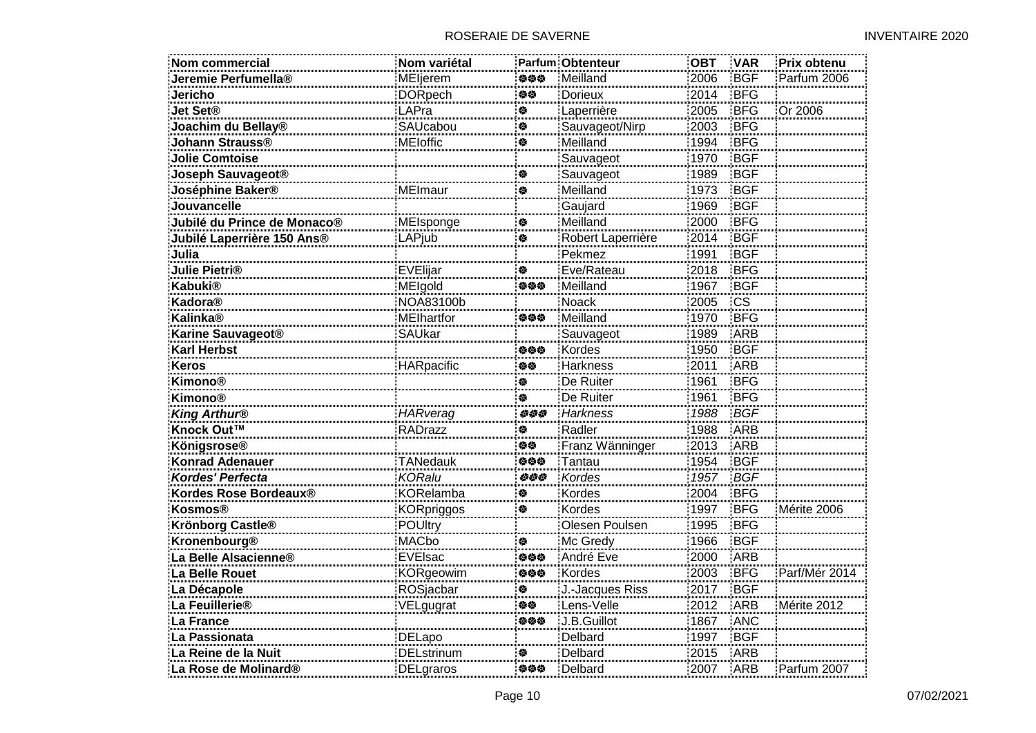| Nom commercial                | Nom variétal      |     | Parfum Obtenteur  | <b>OBT</b> | <b>VAR</b>             | Prix obtenu   |
|-------------------------------|-------------------|-----|-------------------|------------|------------------------|---------------|
| Jeremie Perfumella®           | MEljerem          | 姿姿姿 | Meilland          | 2006       | <b>BGF</b>             | Parfum 2006   |
| Jericho                       | <b>DORpech</b>    | 姿姿  | Dorieux           | 2014       | <b>BFG</b>             |               |
| <b>Jet Set®</b>               | LAPra             | 餋   | Laperrière        | 2005       | <b>BFG</b>             | Or 2006       |
| Joachim du Bellay®            | SAUcabou          | 穆   | Sauvageot/Nirp    | 2003       | <b>BFG</b>             |               |
| Johann Strauss®               | <b>MEIoffic</b>   | 穆   | Meilland          | 1994       | <b>BFG</b>             |               |
| <b>Jolie Comtoise</b>         |                   |     | Sauvageot         | 1970       | <b>BGF</b>             |               |
| Joseph Sauvageot®             |                   | 傪   | Sauvageot         | 1989       | <b>BGF</b>             |               |
| Joséphine Baker®              | <b>MEImaur</b>    | 傪   | Meilland          | 1973       | <b>BGF</b>             |               |
| Jouvancelle                   |                   |     | Gaujard           | 1969       | <b>BGF</b>             |               |
| Jubilé du Prince de Monaco®   | MEIsponge         | ¢   | Meilland          | 2000       | <b>BFG</b>             |               |
| Jubilé Laperrière 150 Ans®    | LAPjub            | ₩   | Robert Laperrière | 2014       | <b>BGF</b>             |               |
| Julia                         |                   |     | Pekmez            | 1991       | <b>BGF</b>             |               |
| <b>Julie Pietri®</b>          | EVElijar          | 餋   | Eve/Rateau        | 2018       | <b>BFG</b>             |               |
| Kabuki®                       | MEIgold           | 姿姿姿 | Meilland          | 1967       | <b>BGF</b>             |               |
| Kadora®                       | NOA83100b         |     | Noack             | 2005       | $\overline{\text{cs}}$ |               |
| Kalinka®                      | <b>MElhartfor</b> | 姿姿姿 | Meilland          | 1970       | <b>BFG</b>             |               |
| Karine Sauvageot <sup>®</sup> | SAUkar            |     | Sauvageot         | 1989       | <b>ARB</b>             |               |
| <b>Karl Herbst</b>            |                   | 姿姿姿 | Kordes            | 1950       | <b>BGF</b>             |               |
| <b>Keros</b>                  | HARpacific        | 旋旋  | Harkness          | 2011       | <b>ARB</b>             |               |
| <b>Kimono®</b>                |                   | 俊   | De Ruiter         | 1961       | <b>BFG</b>             |               |
| <b>Kimono®</b>                |                   | 餋   | De Ruiter         | 1961       | <b>BFG</b>             |               |
| <b>King Arthur®</b>           | HARverag          | 555 | Harkness          | 1988       | <b>BGF</b>             |               |
| Knock Out™                    | RADrazz           | 傪   | Radler            | 1988       | <b>ARB</b>             |               |
| Königsrose®                   |                   | 旋旋  | Franz Wänninger   | 2013       | <b>ARB</b>             |               |
| <b>Konrad Adenauer</b>        | <b>TANedauk</b>   | 姿姿姿 | Tantau            | 1954       | <b>BGF</b>             |               |
| <b>Kordes' Perfecta</b>       | <b>KORalu</b>     | 555 | Kordes            | 1957       | <b>BGF</b>             |               |
| Kordes Rose Bordeaux®         | <b>KORelamba</b>  | 傪   | Kordes            | 2004       | <b>BFG</b>             |               |
| <b>Kosmos®</b>                | <b>KORpriggos</b> | 餋   | Kordes            | 1997       | <b>BFG</b>             | Mérite 2006   |
| Krönborg Castle®              | POUltry           |     | Olesen Poulsen    | 1995       | <b>BFG</b>             |               |
| Kronenbourg®                  | <b>MACbo</b>      | 餋   | Mc Gredy          | 1966       | <b>BGF</b>             |               |
| La Belle Alsacienne®          | EVEIsac           | 姿姿姿 | André Eve         | 2000       | ARB                    |               |
| La Belle Rouet                | KORgeowim         | 姿姿姿 | Kordes            | 2003       | <b>BFG</b>             | Parf/Mér 2014 |
| La Décapole                   | ROSjacbar         | 餋   | J.-Jacques Riss   | 2017       | <b>BGF</b>             |               |
| La Feuillerie <sup>®</sup>    | VELgugrat         | 姿姿  | Lens-Velle        | 2012       | ARB                    | Mérite 2012   |
| La France                     |                   | 姿姿姿 | J.B.Guillot       | 1867       | <b>ANC</b>             |               |
| La Passionata                 | DELapo            |     | Delbard           | 1997       | <b>BGF</b>             |               |
| La Reine de la Nuit           | <b>DELstrinum</b> | 傪   | Delbard           | 2015       | <b>ARB</b>             |               |
| La Rose de Molinard®          | DELgraros         | 旋旋旋 | Delbard           | 2007       | ARB                    | Parfum 2007   |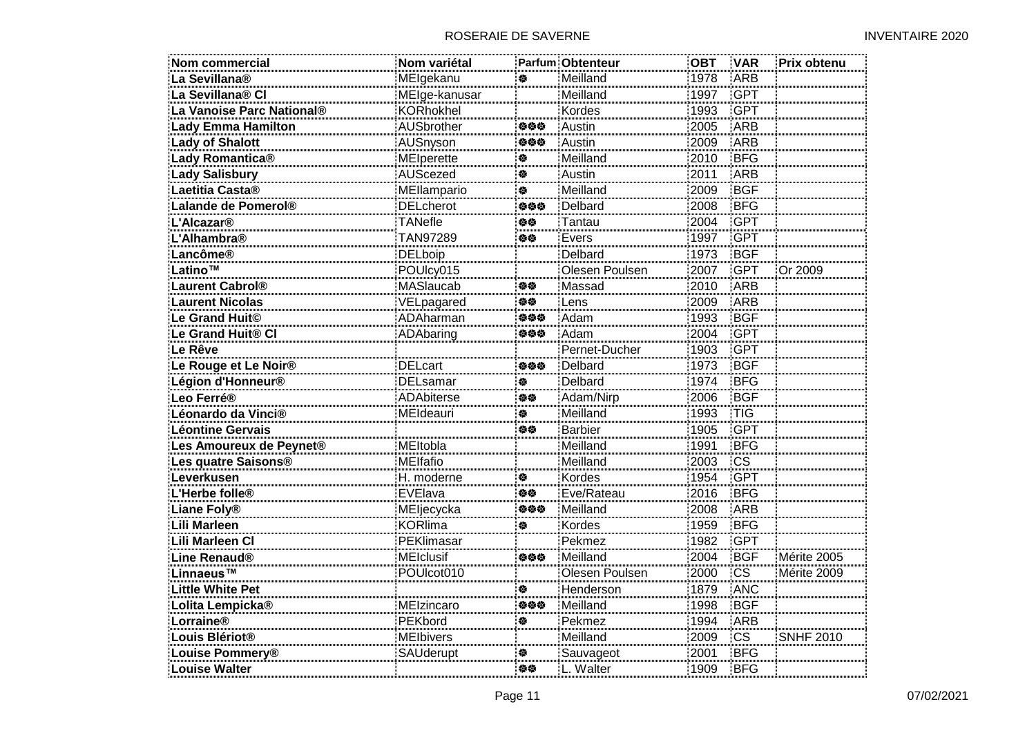| <b>Nom commercial</b>            | Nom variétal      |     | Parfum Obtenteur | <b>OBT</b> | <b>VAR</b>             | Prix obtenu      |
|----------------------------------|-------------------|-----|------------------|------------|------------------------|------------------|
| La Sevillana®                    | MElgekanu         | 餋   | Meilland         | 1978       | <b>ARB</b>             |                  |
| La Sevillana® Cl                 | MEIge-kanusar     |     | Meilland         | 1997       | <b>GPT</b>             |                  |
| La Vanoise Parc National®        | <b>KORhokhel</b>  |     | Kordes           | 1993       | <b>GPT</b>             |                  |
| <b>Lady Emma Hamilton</b>        | <b>AUSbrother</b> | 负负负 | Austin           | 2005       | <b>ARB</b>             |                  |
| <b>Lady of Shalott</b>           | AUSnyson          | 姿姿姿 | Austin           | 2009       | ARB                    |                  |
| Lady Romantica®                  | <b>MEIperette</b> | 俊   | Meilland         | 2010       | <b>BFG</b>             |                  |
| <b>Lady Salisbury</b>            | AUScezed          | 俊   | Austin           | 2011       | <b>ARB</b>             |                  |
| Laetitia Casta <sup>®</sup>      | MEllampario       | 餋   | Meilland         | 2009       | <b>BGF</b>             |                  |
| Lalande de Pomerol®              | <b>DELcherot</b>  | 负负负 | Delbard          | 2008       | <b>BFG</b>             |                  |
| L'Alcazar <sup>®</sup>           | <b>TANefle</b>    | 旋旋  | Tantau           | 2004       | <b>GPT</b>             |                  |
| L'Alhambra®                      | TAN97289          | 修修  | Evers            | 1997       | <b>GPT</b>             |                  |
| Lancôme®                         | <b>DELboip</b>    |     | Delbard          | 1973       | <b>BGF</b>             |                  |
| Latino™                          | POUlcy015         |     | Olesen Poulsen   | 2007       | <b>GPT</b>             | Or 2009          |
| <b>Laurent Cabrol®</b>           | MASlaucab         | 旋旋  | Massad           | 2010       | <b>ARB</b>             |                  |
| <b>Laurent Nicolas</b>           | VELpagared        | 伯位  | Lens             | 2009       | <b>ARB</b>             |                  |
| Le Grand Huit <sup>®</sup>       | ADAharman         | 姿姿姿 | Adam             | 1993       | <b>BGF</b>             |                  |
| Le Grand Huit® CI                | ADAbaring         | 姿姿姿 | Adam             | 2004       | <b>GPT</b>             |                  |
| Le Rêve                          |                   |     | Pernet-Ducher    | 1903       | <b>GPT</b>             |                  |
| Le Rouge et Le Noir <sup>®</sup> | <b>DELcart</b>    | 负负负 | Delbard          | 1973       | <b>BGF</b>             |                  |
| Légion d'Honneur <sup>®</sup>    | <b>DELsamar</b>   | 俊   | Delbard          | 1974       | <b>BFG</b>             |                  |
| Leo Ferré®                       | ADAbiterse        | 修修  | Adam/Nirp        | 2006       | <b>BGF</b>             |                  |
| Léonardo da Vinci®               | MEIdeauri         | 餋   | Meilland         | 1993       | TIG                    |                  |
| <b>Léontine Gervais</b>          |                   | 姿姿  | <b>Barbier</b>   | 1905       | <b>GPT</b>             |                  |
| Les Amoureux de Peynet®          | MEltobla          |     | Meilland         | 1991       | <b>BFG</b>             |                  |
| Les quatre Saisons®              | <b>MEIfafio</b>   |     | Meilland         | 2003       | $\overline{\text{CS}}$ |                  |
| Leverkusen                       | H. moderne        | 俊   | Kordes           | 1954       | <b>GPT</b>             |                  |
| L'Herbe folle <sup>®</sup>       | EVElava           | 修修  | Eve/Rateau       | 2016       | <b>BFG</b>             |                  |
| <b>Liane Foly®</b>               | MEljecycka        | 姿姿姿 | Meilland         | 2008       | ARB                    |                  |
| <b>Lili Marleen</b>              | <b>KORlima</b>    | 检   | Kordes           | 1959       | <b>BFG</b>             |                  |
| Lili Marleen Cl                  | <b>PEKlimasar</b> |     | Pekmez           | 1982       | <b>GPT</b>             |                  |
| <b>Line Renaud®</b>              | <b>MEIclusif</b>  | 负负负 | Meilland         | 2004       | <b>BGF</b>             | Mérite 2005      |
| Linnaeus™                        | POUIcot010        |     | Olesen Poulsen   | 2000       | $\overline{\text{CS}}$ | Mérite 2009      |
| <b>Little White Pet</b>          |                   | 餋   | Henderson        | 1879       | <b>ANC</b>             |                  |
| Lolita Lempicka <sup>®</sup>     | MEIzincaro        | 姿姿姿 | Meilland         | 1998       | <b>BGF</b>             |                  |
| Lorraine®                        | PEKbord           | 餋   | Pekmez           | 1994       | <b>ARB</b>             |                  |
| Louis Blériot <sup>®</sup>       | <b>MEIbivers</b>  |     | Meilland         | 2009       | <b>CS</b>              | <b>SNHF 2010</b> |
| Louise Pommery®                  | <b>SAUderupt</b>  | ♦   | Sauvageot        | 2001       | <b>BFG</b>             |                  |
| Louise Walter                    |                   | 修修  | L. Walter        | 1909       | <b>BFG</b>             |                  |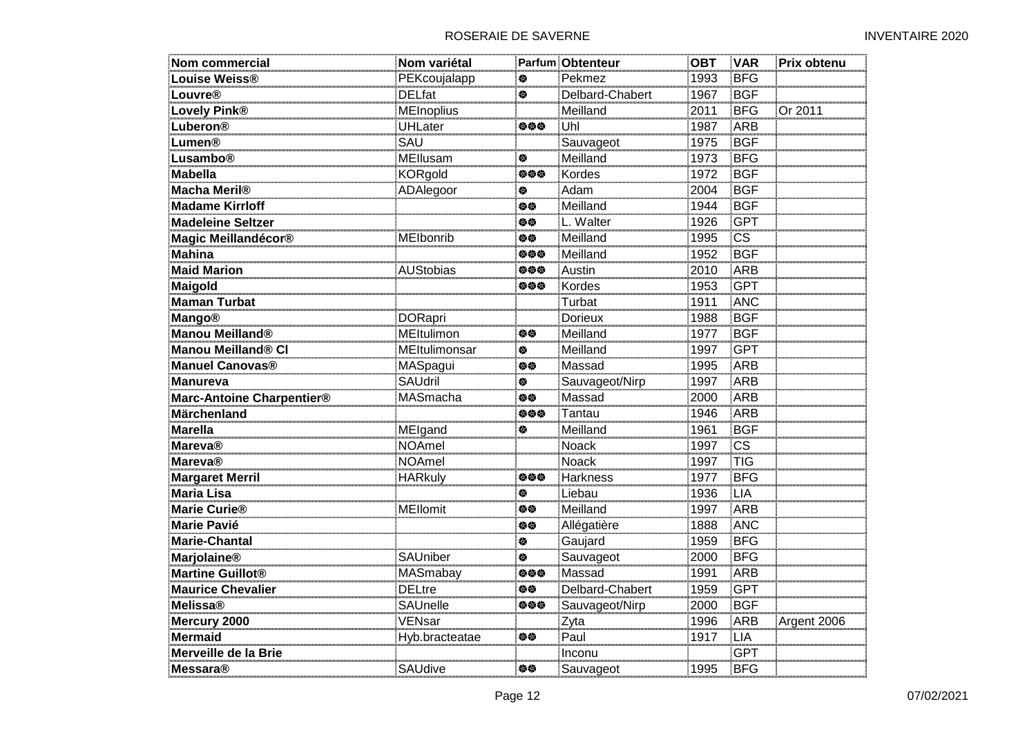| <b>Nom commercial</b>       | Nom variétal      |     | Parfum Obtenteur | <b>OBT</b> | <b>VAR</b> | Prix obtenu |
|-----------------------------|-------------------|-----|------------------|------------|------------|-------------|
| Louise Weiss®               | PEKcoujalapp      | 餋   | Pekmez           | 1993       | <b>BFG</b> |             |
| <b>Louvre®</b>              | <b>DELfat</b>     | 参   | Delbard-Chabert  | 1967       | <b>BGF</b> |             |
| <b>Lovely Pink®</b>         | <b>MEInoplius</b> |     | Meilland         | 2011       | <b>BFG</b> | Or 2011     |
| Luberon®                    | <b>UHLater</b>    | 伯伯伯 | Uhl              | 1987       | ARB        |             |
| Lumen®                      | SAU               |     | Sauvageot        | 1975       | <b>BGF</b> |             |
| Lusambo®                    | MEllusam          | 餋   | Meilland         | 1973       | <b>BFG</b> |             |
| <b>Mabella</b>              | <b>KORgold</b>    | 姿姿姿 | Kordes           | 1972       | <b>BGF</b> |             |
| <b>Macha Meril®</b>         | ADAlegoor         | 傪   | Adam             | 2004       | <b>BGF</b> |             |
| <b>Madame Kirrloff</b>      |                   | 修修  | Meilland         | 1944       | <b>BGF</b> |             |
| <b>Madeleine Seltzer</b>    |                   | 旋旋  | L. Walter        | 1926       | <b>GPT</b> |             |
| Magic Meillandécor®         | MElbonrib         | 伯位  | Meilland         | 1995       | <b>CS</b>  |             |
| <b>Mahina</b>               |                   | 负负负 | Meilland         | 1952       | <b>BGF</b> |             |
| <b>Maid Marion</b>          | <b>AUStobias</b>  | 姿姿姿 | Austin           | 2010       | <b>ARB</b> |             |
| Maigold                     |                   | 参参参 | Kordes           | 1953       | <b>GPT</b> |             |
| <b>Maman Turbat</b>         |                   |     | Turbat           | 1911       | <b>ANC</b> |             |
| <b>Mango®</b>               | <b>DORapri</b>    |     | <b>Dorieux</b>   | 1988       | <b>BGF</b> |             |
| Manou Meilland <sup>®</sup> | MEltulimon        | 伯位  | Meilland         | 1977       | <b>BGF</b> |             |
| Manou Meilland® CI          | MEItulimonsar     | 餋   | Meilland         | 1997       | <b>GPT</b> |             |
| <b>Manuel Canovas®</b>      | MASpagui          | 价值  | Massad           | 1995       | <b>ARB</b> |             |
| <b>Manureva</b>             | <b>SAUdril</b>    | 俊   | Sauvageot/Nirp   | 1997       | ARB        |             |
| Marc-Antoine Charpentier®   | MASmacha          | 价值  | Massad           | 2000       | ARB        |             |
| Märchenland                 |                   | 姿姿姿 | Tantau           | 1946       | ARB        |             |
| <b>Marella</b>              | MEIgand           | ♦   | Meilland         | 1961       | <b>BGF</b> |             |
| <b>Mareva®</b>              | <b>NOAmel</b>     |     | Noack            | 1997       | <b>CS</b>  |             |
| <b>Mareva®</b>              | <b>NOAmel</b>     |     | Noack            | 1997       | <b>TIG</b> |             |
| <b>Margaret Merril</b>      | <b>HARkuly</b>    | 负负负 | Harkness         | 1977       | <b>BFG</b> |             |
| <b>Maria Lisa</b>           |                   | 餋   | Liebau           | 1936       | <b>LIA</b> |             |
| <b>Marie Curie®</b>         | <b>MEllomit</b>   | 价价  | Meilland         | 1997       | ARB        |             |
| <b>Marie Pavié</b>          |                   | 旋旋  | Allégatière      | 1888       | <b>ANC</b> |             |
| <b>Marie-Chantal</b>        |                   | 傪   | Gaujard          | 1959       | <b>BFG</b> |             |
| <b>Marjolaine®</b>          | SAUniber          | 餋   | Sauvageot        | 2000       | <b>BFG</b> |             |
| <b>Martine Guillot®</b>     | MASmabay          | 姿姿姿 | Massad           | 1991       | ARB        |             |
| <b>Maurice Chevalier</b>    | <b>DELtre</b>     | 姿姿  | Delbard-Chabert  | 1959       | <b>GPT</b> |             |
| <b>Melissa®</b>             | SAUnelle          | 负负负 | Sauvageot/Nirp   | 2000       | <b>BGF</b> |             |
| Mercury 2000                | VENsar            |     | Zyta             | 1996       | ARB        | Argent 2006 |
| <b>Mermaid</b>              | Hyb.bracteatae    | 伯位  | Paul             | 1917       | <b>LIA</b> |             |
| Merveille de la Brie        |                   |     | Inconu           |            | <b>GPT</b> |             |
| <b>Messara®</b>             | SAUdive           | 旋旋  | Sauvageot        | 1995       | <b>BFG</b> |             |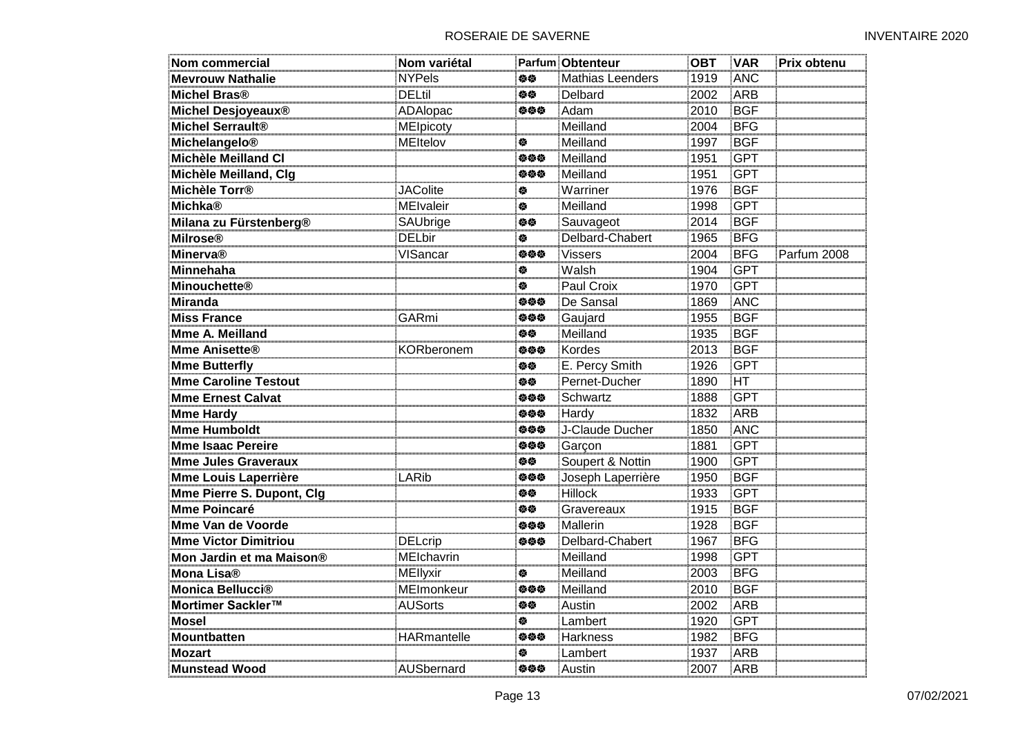| <b>Nom commercial</b>       | Nom variétal       |     | <b>Parfum Obtenteur</b> | <b>OBT</b> | <b>VAR</b> | Prix obtenu |
|-----------------------------|--------------------|-----|-------------------------|------------|------------|-------------|
| <b>Mevrouw Nathalie</b>     | <b>NYPels</b>      | 姿姿  | Mathias Leenders        | 1919       | <b>ANC</b> |             |
| <b>Michel Bras®</b>         | <b>DELtil</b>      | 姿姿  | Delbard                 | 2002       | ARB        |             |
| Michel Desjoyeaux®          | ADAlopac           | 伯伯伯 | Adam                    | 2010       | <b>BGF</b> |             |
| <b>Michel Serrault®</b>     | MElpicoty          |     | Meilland                | 2004       | <b>BFG</b> |             |
| Michelangelo®               | MEItelov           | 检   | Meilland                | 1997       | <b>BGF</b> |             |
| <b>Michèle Meilland Cl</b>  |                    | 姿姿姿 | Meilland                | 1951       | <b>GPT</b> |             |
| Michèle Meilland, Clg       |                    | 姿姿姿 | Meilland                | 1951       | <b>GPT</b> |             |
| Michèle Torr <sup>®</sup>   | <b>JAColite</b>    | 傪   | Warriner                | 1976       | <b>BGF</b> |             |
| <b>Michka®</b>              | <b>MEIvaleir</b>   | 餋   | Meilland                | 1998       | <b>GPT</b> |             |
| Milana zu Fürstenberg®      | SAUbrige           | 姿姿  | Sauvageot               | 2014       | <b>BGF</b> |             |
| <b>Milrose®</b>             | <b>DELbir</b>      | 餋   | Delbard-Chabert         | 1965       | <b>BFG</b> |             |
| <b>Minerva®</b>             | VISancar           | 姿姿姿 | <b>Vissers</b>          | 2004       | <b>BFG</b> | Parfum 2008 |
| <b>Minnehaha</b>            |                    | 傪   | Walsh                   | 1904       | <b>GPT</b> |             |
| <b>Minouchette®</b>         |                    | 穆   | Paul Croix              | 1970       | <b>GPT</b> |             |
| <b>Miranda</b>              |                    | 姿姿姿 | De Sansal               | 1869       | <b>ANC</b> |             |
| <b>Miss France</b>          | <b>GARmi</b>       | 姿姿姿 | Gaujard                 | 1955       | <b>BGF</b> |             |
| Mme A. Meilland             |                    | 旋旋  | Meilland                | 1935       | <b>BGF</b> |             |
| <b>Mme Anisette®</b>        | KORberonem         | 姿姿姿 | Kordes                  | 2013       | <b>BGF</b> |             |
| <b>Mme Butterfly</b>        |                    | 检修  | E. Percy Smith          | 1926       | <b>GPT</b> |             |
| <b>Mme Caroline Testout</b> |                    | 姿态  | Pernet-Ducher           | 1890       | <b>HT</b>  |             |
| <b>Mme Ernest Calvat</b>    |                    | 姿姿姿 | Schwartz                | 1888       | <b>GPT</b> |             |
| <b>Mme Hardy</b>            |                    | 姿姿姿 | Hardy                   | 1832       | <b>ARB</b> |             |
| <b>Mme Humboldt</b>         |                    | 姿姿姿 | J-Claude Ducher         | 1850       | <b>ANC</b> |             |
| <b>Mme Isaac Pereire</b>    |                    | 姿姿姿 | Garçon                  | 1881       | <b>GPT</b> |             |
| <b>Mme Jules Graveraux</b>  |                    | 姿姿  | Soupert & Nottin        | 1900       | <b>GPT</b> |             |
| <b>Mme Louis Laperrière</b> | LARib              | 姿姿姿 | Joseph Laperrière       | 1950       | <b>BGF</b> |             |
| Mme Pierre S. Dupont, Clg   |                    | 姿态  | <b>Hillock</b>          | 1933       | <b>GPT</b> |             |
| <b>Mme Poincaré</b>         |                    | 鱼位  | Gravereaux              | 1915       | <b>BGF</b> |             |
| <b>Mme Van de Voorde</b>    |                    | 姿姿姿 | <b>Mallerin</b>         | 1928       | <b>BGF</b> |             |
| <b>Mme Victor Dimitriou</b> | <b>DELcrip</b>     | 姿姿姿 | Delbard-Chabert         | 1967       | <b>BFG</b> |             |
| Mon Jardin et ma Maison®    | MEIchavrin         |     | Meilland                | 1998       | <b>GPT</b> |             |
| Mona Lisa®                  | MEllyxir           | 傪   | Meilland                | 2003       | <b>BFG</b> |             |
| Monica Bellucci®            | MEImonkeur         | 姿姿姿 | Meilland                | 2010       | <b>BGF</b> |             |
| Mortimer Sackler™           | <b>AUSorts</b>     | 姿姿  | Austin                  | 2002       | ARB        |             |
| <b>Mosel</b>                |                    | 餋   | Lambert                 | 1920       | <b>GPT</b> |             |
| <b>Mountbatten</b>          | <b>HARmantelle</b> | 姿姿姿 | <b>Harkness</b>         | 1982       | <b>BFG</b> |             |
| <b>Mozart</b>               |                    | 傪   | Lambert                 | 1937       | <b>ARB</b> |             |
| <b>Munstead Wood</b>        | AUSbernard         | 旋旋旋 | Austin                  | 2007       | ARB        |             |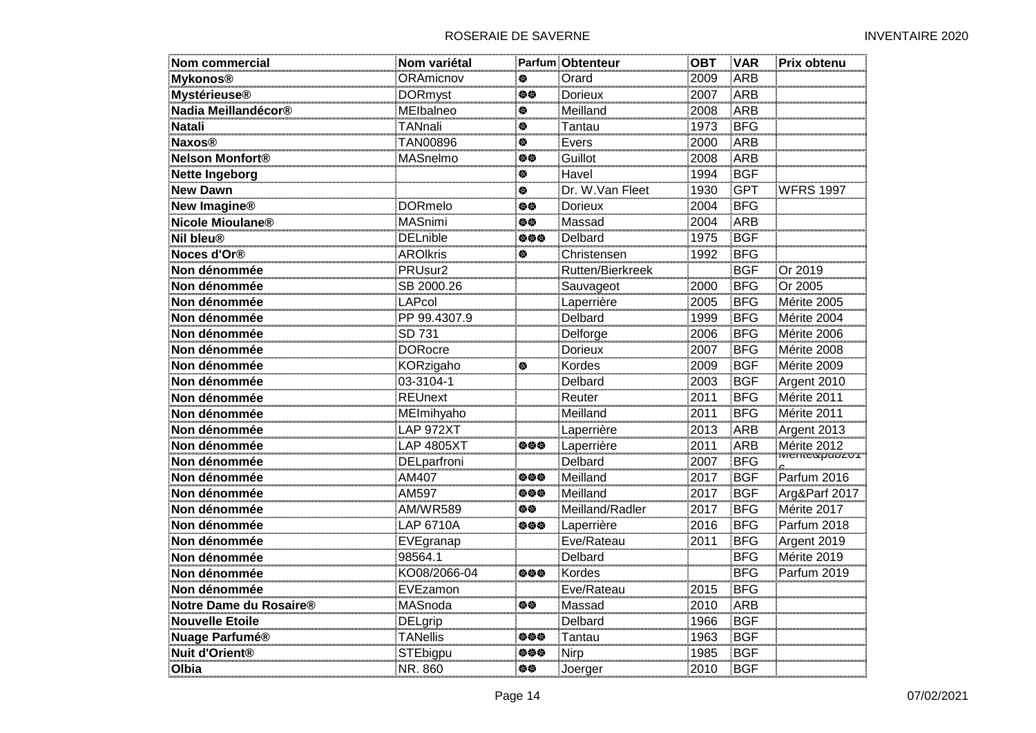| Nom commercial          | Nom variétal      |     | <b>Parfum Obtenteur</b> | <b>OBT</b> | <b>VAR</b> | Prix obtenu      |
|-------------------------|-------------------|-----|-------------------------|------------|------------|------------------|
| <b>Mykonos®</b>         | ORAmicnov         | 傪   | Orard                   | 2009       | <b>ARB</b> |                  |
| <b>Mystérieuse®</b>     | <b>DORmyst</b>    | 修修  | <b>Dorieux</b>          | 2007       | ARB        |                  |
| Nadia Meillandécor®     | MElbalneo         | 舂   | Meilland                | 2008       | ARB        |                  |
| <b>Natali</b>           | TANnali           | 餋   | Tantau                  | 1973       | <b>BFG</b> |                  |
| <b>Naxos®</b>           | <b>TAN00896</b>   | 穆   | Evers                   | 2000       | <b>ARB</b> |                  |
| <b>Nelson Monfort®</b>  | MASnelmo          | 修修  | Guillot                 | 2008       | ARB        |                  |
| <b>Nette Ingeborg</b>   |                   | 傪   | Havel                   | 1994       | <b>BGF</b> |                  |
| <b>New Dawn</b>         |                   | 傪   | Dr. W.Van Fleet         | 1930       | <b>GPT</b> | <b>WFRS 1997</b> |
| <b>New Imagine®</b>     | <b>DORmelo</b>    | 伯位  | Dorieux                 | 2004       | <b>BFG</b> |                  |
| Nicole Mioulane®        | MASnimi           | 旋旋  | Massad                  | 2004       | ARB        |                  |
| Nil bleu®               | <b>DELnible</b>   | 伯伯伯 | Delbard                 | 1975       | <b>BGF</b> |                  |
| Noces d'Or <sup>®</sup> | <b>AROIkris</b>   | 参   | Christensen             | 1992       | <b>BFG</b> |                  |
| Non dénommée            | PRUsur2           |     | Rutten/Bierkreek        |            | <b>BGF</b> | Or 2019          |
| Non dénommée            | SB 2000.26        |     | Sauvageot               | 2000       | <b>BFG</b> | Or 2005          |
| Non dénommée            | <b>LAPcol</b>     |     | Laperrière              | 2005       | <b>BFG</b> | Mérite 2005      |
| Non dénommée            | PP 99.4307.9      |     | Delbard                 | 1999       | <b>BFG</b> | Mérite 2004      |
| Non dénommée            | SD 731            |     | Delforge                | 2006       | <b>BFG</b> | Mérite 2006      |
| Non dénommée            | <b>DORocre</b>    |     | <b>Dorieux</b>          | 2007       | <b>BFG</b> | Mérite 2008      |
| Non dénommée            | KORzigaho         | 餋   | Kordes                  | 2009       | <b>BGF</b> | Mérite 2009      |
| Non dénommée            | 03-3104-1         |     | Delbard                 | 2003       | <b>BGF</b> | Argent 2010      |
| Non dénommée            | <b>REUnext</b>    |     | Reuter                  | 2011       | <b>BFG</b> | Mérite 2011      |
| Non dénommée            | MEImihyaho        |     | Meilland                | 2011       | <b>BFG</b> | Mérite 2011      |
| Non dénommée            | LAP 972XT         |     | Laperrière              | 2013       | ARB        | Argent 2013      |
| Non dénommée            | <b>LAP 4805XT</b> | 姿姿姿 | Laperrière              | 2011       | <b>ARB</b> | Mérite 2012      |
| Non dénommée            | DELparfroni       |     | Delbard                 | 2007       | <b>BFG</b> |                  |
| Non dénommée            | AM407             | 姿姿姿 | Meilland                | 2017       | <b>BGF</b> | Parfum 2016      |
| Non dénommée            | AM597             | 姿姿姿 | Meilland                | 2017       | <b>BGF</b> | Arg&Parf 2017    |
| Non dénommée            | <b>AM/WR589</b>   | 伯修  | Meilland/Radler         | 2017       | <b>BFG</b> | Mérite 2017      |
| Non dénommée            | <b>LAP 6710A</b>  | 姿姿姿 | Laperrière              | 2016       | <b>BFG</b> | Parfum 2018      |
| Non dénommée            | EVEgranap         |     | Eve/Rateau              | 2011       | <b>BFG</b> | Argent 2019      |
| Non dénommée            | 98564.1           |     | Delbard                 |            | <b>BFG</b> | Mérite 2019      |
| Non dénommée            | KO08/2066-04      | 姿姿姿 | Kordes                  |            | <b>BFG</b> | Parfum 2019      |
| Non dénommée            | EVEzamon          |     | Eve/Rateau              | 2015       | BFG        |                  |
| Notre Dame du Rosaire®  | MASnoda           | 伯位  | Massad                  | 2010       | ARB        |                  |
| <b>Nouvelle Etoile</b>  | <b>DELgrip</b>    |     | Delbard                 | 1966       | <b>BGF</b> |                  |
| <b>Nuage Parfumé®</b>   | <b>TANellis</b>   | 姿姿姿 | Tantau                  | 1963       | <b>BGF</b> |                  |
| <b>Nuit d'Orient®</b>   | STEbigpu          | 姿姿姿 | Nirp                    | 1985       | <b>BGF</b> |                  |
| Olbia                   | NR. 860           | 伯修  | Joerger                 | 2010       | <b>BGF</b> |                  |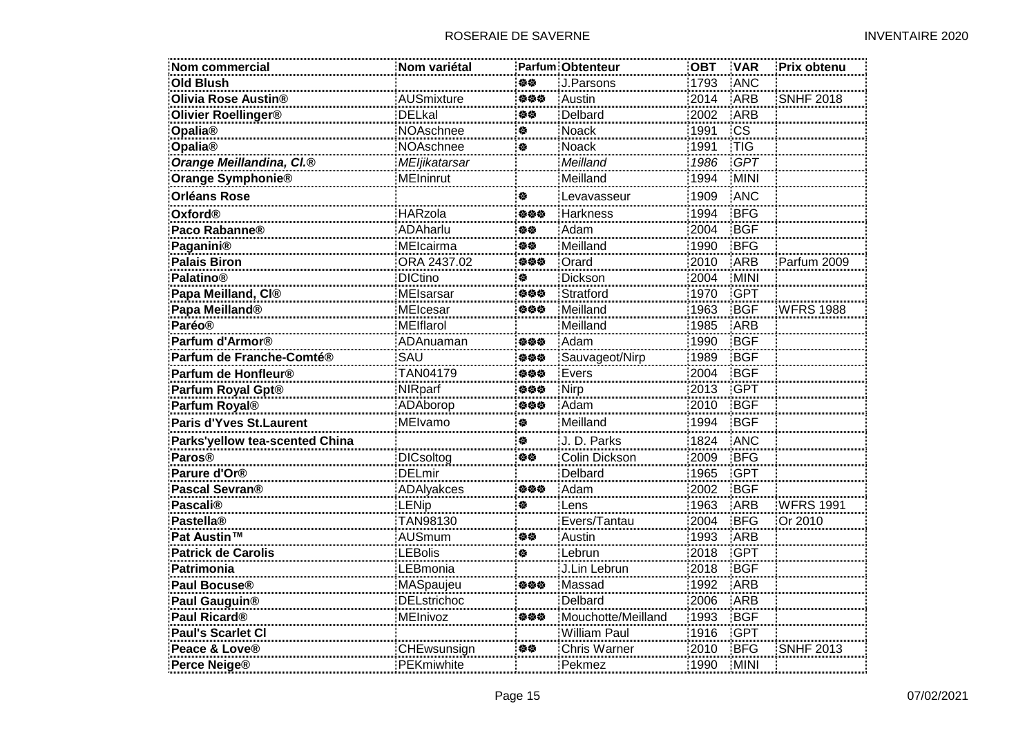| Nom commercial                       | Nom variétal       |     | <b>Parfum Obtenteur</b> | <b>OBT</b> | <b>VAR</b>  | Prix obtenu      |
|--------------------------------------|--------------------|-----|-------------------------|------------|-------------|------------------|
| <b>Old Blush</b>                     |                    | 伯位  | J.Parsons               | 1793       | ANC         |                  |
| Olivia Rose Austin®                  | <b>AUSmixture</b>  | 姿姿姿 | Austin                  | 2014       | <b>ARB</b>  | <b>SNHF 2018</b> |
| Olivier Roellinger®                  | <b>DELkal</b>      | 位位  | Delbard                 | 2002       | ARB         |                  |
| Opalia®                              | NOAschnee          | 傪   | Noack                   | 1991       | <b>CS</b>   |                  |
| Opalia®                              | NOAschnee          | 餋   | Noack                   | 1991       | <b>TIG</b>  |                  |
| Orange Meillandina, CI. <sup>®</sup> | MEljikatarsar      |     | Meilland                | 1986       | <b>GPT</b>  |                  |
| Orange Symphonie®                    | <b>MEIninrut</b>   |     | Meilland                | 1994       | MINI        |                  |
| <b>Orléans Rose</b>                  |                    | 舂   | Levavasseur             | 1909       | ANC         |                  |
| <b>Oxford®</b>                       | <b>HARzola</b>     | 姿姿姿 | <b>Harkness</b>         | 1994       | <b>BFG</b>  |                  |
| Paco Rabanne®                        | ADAharlu           | 姿姿  | Adam                    | 2004       | <b>BGF</b>  |                  |
| Paganini®                            | MElcairma          | 白德  | Meilland                | 1990       | <b>BFG</b>  |                  |
| <b>Palais Biron</b>                  | ORA 2437.02        | 姿姿姿 | Orard                   | 2010       | <b>ARB</b>  | Parfum 2009      |
| <b>Palatino®</b>                     | <b>DICtino</b>     | 橀   | Dickson                 | 2004       | <b>MINI</b> |                  |
| Papa Meilland, CI®                   | MEIsarsar          | 姿姿姿 | Stratford               | 1970       | <b>GPT</b>  |                  |
| Papa Meilland <sup>®</sup>           | MEIcesar           | 姿姿姿 | Meilland                | 1963       | <b>BGF</b>  | <b>WFRS 1988</b> |
| <b>Paréo®</b>                        | MEIflarol          |     | Meilland                | 1985       | ARB         |                  |
| Parfum d'Armor <sup>®</sup>          | ADAnuaman          | 姿姿姿 | Adam                    | 1990       | <b>BGF</b>  |                  |
| Parfum de Franche-Comté®             | SAU                | 参参参 | Sauvageot/Nirp          | 1989       | <b>BGF</b>  |                  |
| Parfum de Honfleur <sup>®</sup>      | TAN04179           | 姿姿姿 | Evers                   | 2004       | <b>BGF</b>  |                  |
| Parfum Royal Gpt®                    | NIRparf            | 姿姿姿 | Nirp                    | 2013       | <b>GPT</b>  |                  |
| Parfum Royal®                        | ADAborop           | 姿姿姿 | Adam                    | 2010       | <b>BGF</b>  |                  |
| <b>Paris d'Yves St. Laurent</b>      | MElvamo            | 俊   | Meilland                | 1994       | <b>BGF</b>  |                  |
| Parks'yellow tea-scented China       |                    | 参   | J. D. Parks             | 1824       | ANC         |                  |
| Paros <sup>®</sup>                   | <b>DICsoltog</b>   | 旋旋  | Colin Dickson           | 2009       | <b>BFG</b>  |                  |
| Parure d'Or <sup>®</sup>             | <b>DELmir</b>      |     | Delbard                 | 1965       | <b>GPT</b>  |                  |
| Pascal Sevran <sup>®</sup>           | ADAlyakces         | 姿姿姿 | Adam                    | 2002       | <b>BGF</b>  |                  |
| <b>Pascali®</b>                      | <b>LENip</b>       | 参   | Lens                    | 1963       | ARB         | <b>WFRS 1991</b> |
| <b>Pastella®</b>                     | TAN98130           |     | Evers/Tantau            | 2004       | <b>BFG</b>  | Or 2010          |
| Pat Austin™                          | AUSmum             | 旋旋  | Austin                  | 1993       | ARB         |                  |
| <b>Patrick de Carolis</b>            | <b>LEBolis</b>     | 傪   | Lebrun                  | 2018       | <b>GPT</b>  |                  |
| Patrimonia                           | LEBmonia           |     | J.Lin Lebrun            | 2018       | <b>BGF</b>  |                  |
| Paul Bocuse <sup>®</sup>             | MASpaujeu          | 姿姿姿 | Massad                  | 1992       | <b>ARB</b>  |                  |
| Paul Gauguin <sup>®</sup>            | <b>DELstrichoc</b> |     | <b>Delbard</b>          | 2006       | <b>ARB</b>  |                  |
| Paul Ricard <sup>®</sup>             | MEInivoz           | 伯伯伯 | Mouchotte/Meilland      | 1993       | <b>BGF</b>  |                  |
| <b>Paul's Scarlet Cl</b>             |                    |     | <b>William Paul</b>     | 1916       | <b>GPT</b>  |                  |
| Peace & Love <sup>®</sup>            | CHEwsunsign        | 旋旋  | Chris Warner            | 2010       | <b>BFG</b>  | <b>SNHF 2013</b> |
| <b>Perce Neige®</b>                  | PEKmiwhite         |     | Pekmez                  | 1990       | MINI        |                  |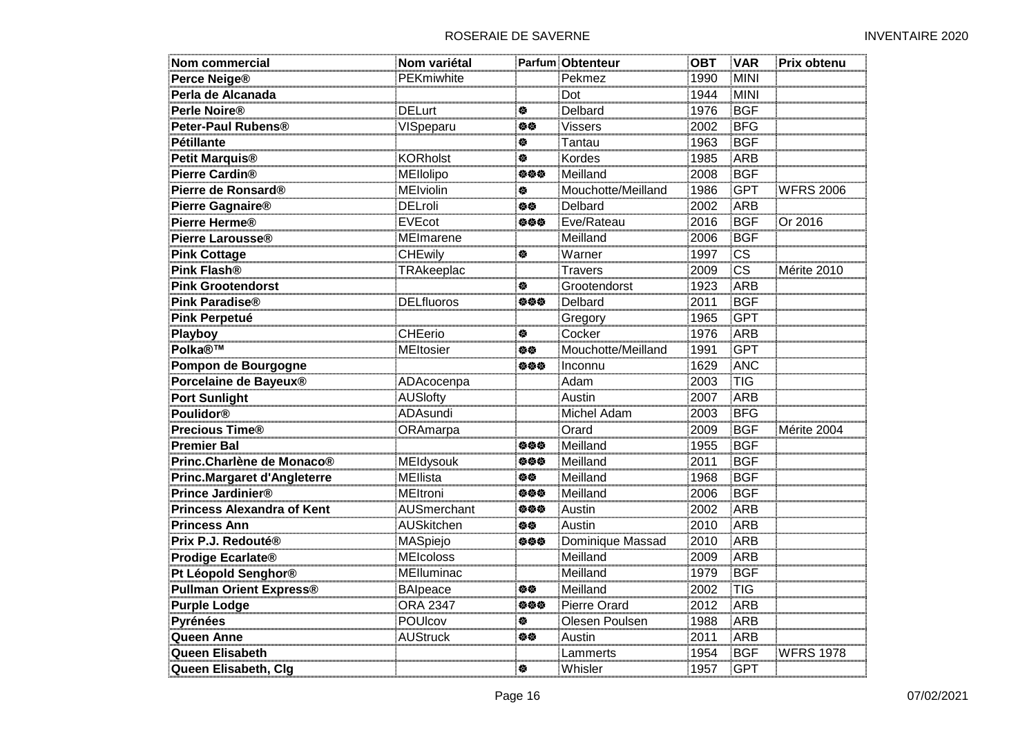| <b>Nom commercial</b>              | Nom variétal      |     | <b>Parfum Obtenteur</b> | <b>OBT</b> | <b>VAR</b> | Prix obtenu      |
|------------------------------------|-------------------|-----|-------------------------|------------|------------|------------------|
| Perce Neige <sup>®</sup>           | PEKmiwhite        |     | Pekmez                  | 1990       | MINI       |                  |
| Perla de Alcanada                  |                   |     | Dot                     | 1944       | MINI       |                  |
| Perle Noire®                       | <b>DELurt</b>     | 舂   | Delbard                 | 1976       | <b>BGF</b> |                  |
| Peter-Paul Rubens®                 | VISpeparu         | 伯位  | <b>Vissers</b>          | 2002       | <b>BFG</b> |                  |
| <b>Pétillante</b>                  |                   | 穆   | Tantau                  | 1963       | <b>BGF</b> |                  |
| <b>Petit Marquis®</b>              | <b>KORholst</b>   | 餋   | Kordes                  | 1985       | <b>ARB</b> |                  |
| <b>Pierre Cardin®</b>              | MEllolipo         | 姿姿姿 | Meilland                | 2008       | <b>BGF</b> |                  |
| Pierre de Ronsard®                 | <b>MEIviolin</b>  | 傪   | Mouchotte/Meilland      | 1986       | <b>GPT</b> | <b>WFRS 2006</b> |
| Pierre Gagnaire®                   | <b>DELroli</b>    | 白德  | Delbard                 | 2002       | ARB        |                  |
| Pierre Herme <sup>®</sup>          | <b>EVEcot</b>     | 姿姿姿 | Eve/Rateau              | 2016       | <b>BGF</b> | Or 2016          |
| Pierre Larousse®                   | <b>MEImarene</b>  |     | Meilland                | 2006       | <b>BGF</b> |                  |
| <b>Pink Cottage</b>                | <b>CHEwily</b>    | 傪   | Warner                  | 1997       | <b>CS</b>  |                  |
| <b>Pink Flash®</b>                 | TRAkeeplac        |     | <b>Travers</b>          | 2009       | <b>CS</b>  | Mérite 2010      |
| <b>Pink Grootendorst</b>           |                   | 餋   | Grootendorst            | 1923       | <b>ARB</b> |                  |
| <b>Pink Paradise®</b>              | <b>DELfluoros</b> | 姿姿姿 | Delbard                 | 2011       | <b>BGF</b> |                  |
| <b>Pink Perpetué</b>               |                   |     | Gregory                 | 1965       | <b>GPT</b> |                  |
| Playboy                            | <b>CHEerio</b>    | 参   | Cocker                  | 1976       | ARB        |                  |
| <b>Polka®™</b>                     | <b>MEItosier</b>  | 姿姿  | Mouchotte/Meilland      | 1991       | <b>GPT</b> |                  |
| Pompon de Bourgogne                |                   | 姿姿姿 | Inconnu                 | 1629       | <b>ANC</b> |                  |
| Porcelaine de Bayeux®              | ADAcocenpa        |     | Adam                    | 2003       | <b>TIG</b> |                  |
| <b>Port Sunlight</b>               | <b>AUSlofty</b>   |     | Austin                  | 2007       | ARB        |                  |
| <b>Poulidor®</b>                   | ADAsundi          |     | Michel Adam             | 2003       | <b>BFG</b> |                  |
| <b>Precious Time®</b>              | ORAmarpa          |     | Orard                   | 2009       | <b>BGF</b> | Mérite 2004      |
| <b>Premier Bal</b>                 |                   | 姿姿姿 | Meilland                | 1955       | <b>BGF</b> |                  |
| Princ.Charlène de Monaco®          | MEIdysouk         | 姿姿姿 | Meilland                | 2011       | <b>BGF</b> |                  |
| <b>Princ.Margaret d'Angleterre</b> | <b>MEllista</b>   | 伯伯  | Meilland                | 1968       | <b>BGF</b> |                  |
| Prince Jardinier®                  | <b>MEltroni</b>   | 姿姿姿 | Meilland                | 2006       | <b>BGF</b> |                  |
| <b>Princess Alexandra of Kent</b>  | AUSmerchant       | 姿姿姿 | Austin                  | 2002       | ARB        |                  |
| <b>Princess Ann</b>                | AUSkitchen        | 伯修  | Austin                  | 2010       | ARB        |                  |
| Prix P.J. Redouté®                 | MASpiejo          | 姿姿姿 | Dominique Massad        | 2010       | <b>ARB</b> |                  |
| Prodige Ecarlate®                  | <b>MEIcoloss</b>  |     | Meilland                | 2009       | ARB        |                  |
| Pt Léopold Senghor®                | MElluminac        |     | Meilland                | 1979       | BGF        |                  |
| <b>Pullman Orient Express®</b>     | <b>BAlpeace</b>   | 伯位  | Meilland                | 2002       | TIG        |                  |
| <b>Purple Lodge</b>                | <b>ORA 2347</b>   | 伯伯伯 | Pierre Orard            | 2012       | ARB        |                  |
| Pyrénées                           | POUIcov           | 傪   | Olesen Poulsen          | 1988       | ARB        |                  |
| Queen Anne                         | <b>AUStruck</b>   | 伯位  | Austin                  | 2011       | <b>ARB</b> |                  |
| Queen Elisabeth                    |                   |     | Lammerts                | 1954       | <b>BGF</b> | <b>WFRS 1978</b> |
| Queen Elisabeth, Clg               |                   | 餋   | Whisler                 | 1957       | GPT        |                  |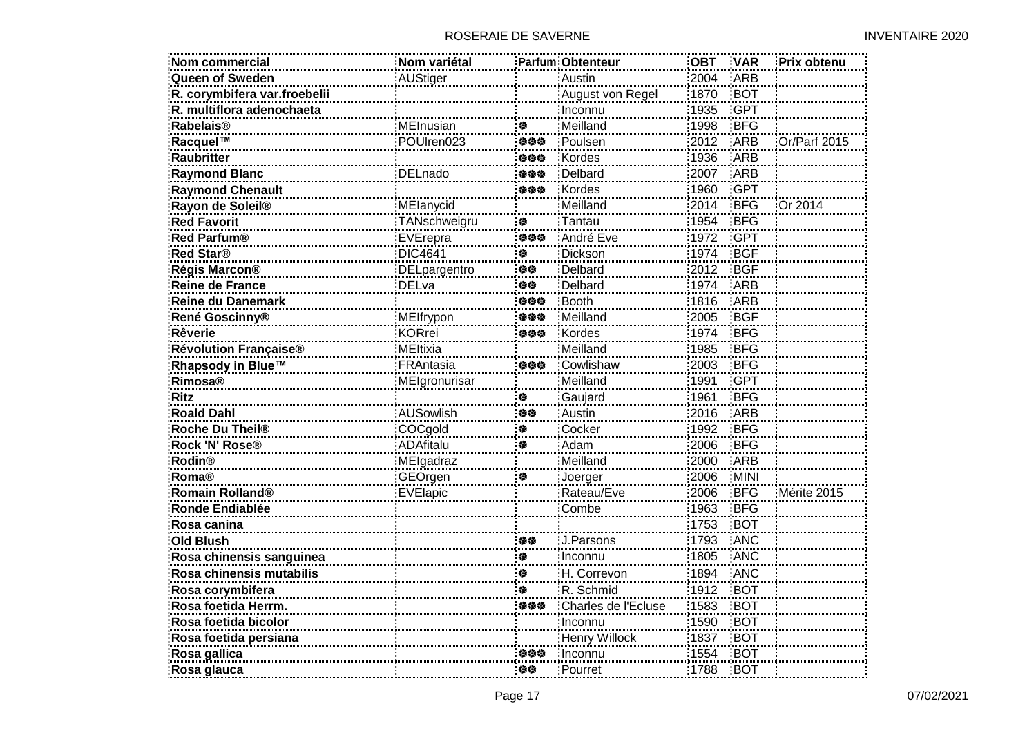| Nom commercial               | Nom variétal     |     | Parfum Obtenteur    | <b>OBT</b> | <b>VAR</b> | Prix obtenu  |
|------------------------------|------------------|-----|---------------------|------------|------------|--------------|
| <b>Queen of Sweden</b>       | <b>AUStiger</b>  |     | Austin              | 2004       | <b>ARB</b> |              |
| R. corymbifera var.froebelii |                  |     | August von Regel    | 1870       | <b>BOT</b> |              |
| R. multiflora adenochaeta    |                  |     | Inconnu             | 1935       | <b>GPT</b> |              |
| <b>Rabelais®</b>             | MEInusian        | 傪   | Meilland            | 1998       | <b>BFG</b> |              |
| Racquel™                     | POUIren023       | 姿姿姿 | Poulsen             | 2012       | ARB        | Or/Parf 2015 |
| <b>Raubritter</b>            |                  | 负负负 | Kordes              | 1936       | <b>ARB</b> |              |
| <b>Raymond Blanc</b>         | <b>DELnado</b>   | 负负负 | Delbard             | 2007       | <b>ARB</b> |              |
| <b>Raymond Chenault</b>      |                  | 负负负 | Kordes              | 1960       | <b>GPT</b> |              |
| Rayon de Soleil®             | MElanycid        |     | Meilland            | 2014       | <b>BFG</b> | Or 2014      |
| <b>Red Favorit</b>           | TANschweigru     | 俊   | Tantau              | 1954       | <b>BFG</b> |              |
| <b>Red Parfum®</b>           | EVErepra         | 姿姿姿 | André Eve           | 1972       | <b>GPT</b> |              |
| <b>Red Star®</b>             | <b>DIC4641</b>   | ♦   | Dickson             | 1974       | <b>BGF</b> |              |
| Régis Marcon®                | DELpargentro     | 旋旋  | Delbard             | 2012       | <b>BGF</b> |              |
| <b>Reine de France</b>       | <b>DELva</b>     | 姿姿  | Delbard             | 1974       | ARB        |              |
| <b>Reine du Danemark</b>     |                  | 姿姿姿 | <b>Booth</b>        | 1816       | ARB        |              |
| René Goscinny®               | MEIfrypon        | 负负负 | Meilland            | 2005       | <b>BGF</b> |              |
| <b>Rêverie</b>               | <b>KORrei</b>    | 姿姿姿 | Kordes              | 1974       | <b>BFG</b> |              |
| Révolution Française®        | <b>MEltixia</b>  |     | Meilland            | 1985       | <b>BFG</b> |              |
| Rhapsody in Blue™            | FRAntasia        | 参参参 | Cowlishaw           | 2003       | BFG        |              |
| <b>Rimosa®</b>               | MEIgronurisar    |     | Meilland            | 1991       | <b>GPT</b> |              |
| <b>Ritz</b>                  |                  | ₩   | Gaujard             | 1961       | <b>BFG</b> |              |
| <b>Roald Dahl</b>            | <b>AUSowlish</b> | 姿姿  | Austin              | 2016       | <b>ARB</b> |              |
| Roche Du Theil <sup>®</sup>  | COCgold          | 傪   | Cocker              | 1992       | <b>BFG</b> |              |
| Rock 'N' Rose®               | <b>ADAfitalu</b> | 俊   | Adam                | 2006       | <b>BFG</b> |              |
| <b>Rodin®</b>                | MElgadraz        |     | Meilland            | 2000       | ARB        |              |
| <b>Roma®</b>                 | GEOrgen          | 穆   | Joerger             | 2006       | MINI       |              |
| Romain Rolland®              | EVElapic         |     | Rateau/Eve          | 2006       | <b>BFG</b> | Mérite 2015  |
| <b>Ronde Endiablée</b>       |                  |     | Combe               | 1963       | <b>BFG</b> |              |
| Rosa canina                  |                  |     |                     | 1753       | BOT        |              |
| <b>Old Blush</b>             |                  | 修修  | J.Parsons           | 1793       | <b>ANC</b> |              |
| Rosa chinensis sanguinea     |                  | 餋   | Inconnu             | 1805       | ANC        |              |
| Rosa chinensis mutabilis     |                  | 数   | H. Correvon         | 1894       | ANC        |              |
| Rosa corymbifera             |                  | 傪   | R. Schmid           | 1912       | <b>BOT</b> |              |
| Rosa foetida Herrm.          |                  | 姿姿姿 | Charles de l'Ecluse | 1583       | <b>BOT</b> |              |
| Rosa foetida bicolor         |                  |     | Inconnu             | 1590       | <b>BOT</b> |              |
| Rosa foetida persiana        |                  |     | Henry Willock       | 1837       | <b>BOT</b> |              |
| Rosa gallica                 |                  | 旋旋旋 | Inconnu             | 1554       | BOT        |              |
| Rosa glauca                  |                  | 旋旋  | Pourret             | 1788       | BOT        |              |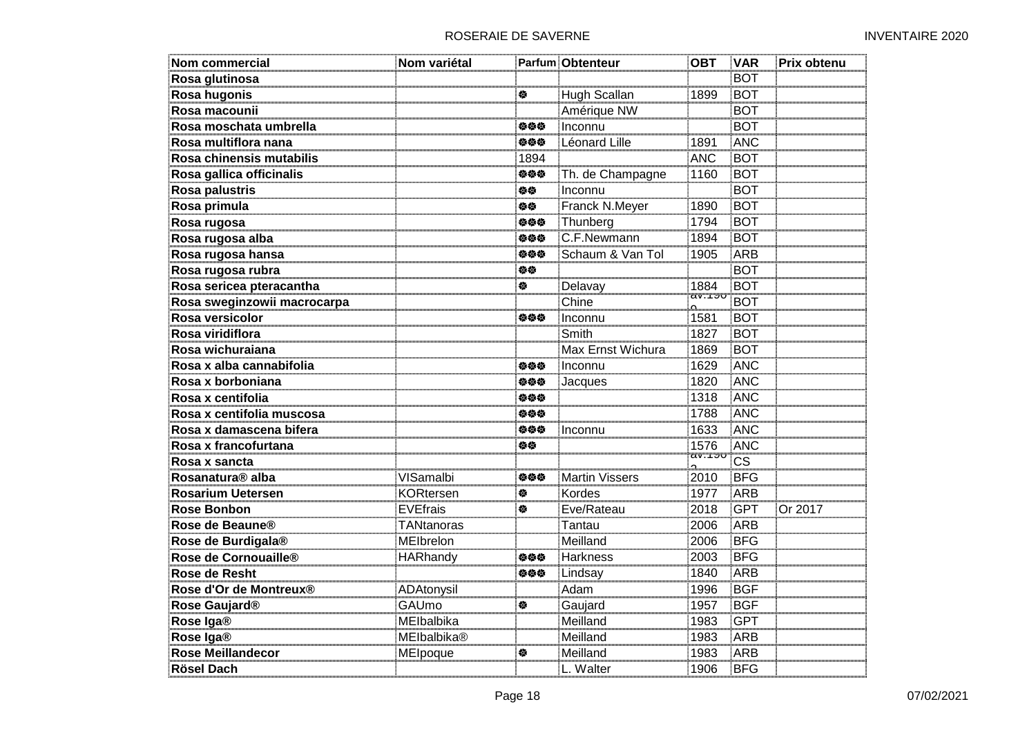| <b>Nom commercial</b>            | Nom variétal       |      | <b>Parfum Obtenteur</b> | <b>OBT</b>                    | <b>VAR</b>             | Prix obtenu |
|----------------------------------|--------------------|------|-------------------------|-------------------------------|------------------------|-------------|
| Rosa glutinosa                   |                    |      |                         |                               | <b>BOT</b>             |             |
| Rosa hugonis                     |                    | 餋    | Hugh Scallan            | 1899                          | <b>BOT</b>             |             |
| Rosa macounii                    |                    |      | Amérique NW             |                               | <b>BOT</b>             |             |
| Rosa moschata umbrella           |                    | 负负负  | Inconnu                 |                               | <b>BOT</b>             |             |
| Rosa multiflora nana             |                    | 负负负  | Léonard Lille           | 1891                          | <b>ANC</b>             |             |
| Rosa chinensis mutabilis         |                    | 1894 |                         | <b>ANC</b>                    | <b>BOT</b>             |             |
| Rosa gallica officinalis         |                    | 参参参  | Th. de Champagne        | 1160                          | <b>BOT</b>             |             |
| Rosa palustris                   |                    | 旋旋   | Inconnu                 |                               | <b>BOT</b>             |             |
| Rosa primula                     |                    | 姿姿   | Franck N.Meyer          | 1890                          | <b>BOT</b>             |             |
| Rosa rugosa                      |                    | 姿姿姿  | Thunberg                | 1794                          | <b>BOT</b>             |             |
| Rosa rugosa alba                 |                    | 伯伯伯  | C.F.Newmann             | 1894                          | <b>BOT</b>             |             |
| Rosa rugosa hansa                |                    | 负负负  | Schaum & Van Tol        | 1905                          | <b>ARB</b>             |             |
| Rosa rugosa rubra                |                    | 修修   |                         |                               | <b>BOT</b>             |             |
| Rosa sericea pteracantha         |                    | 俊    | Delavay                 | 1884<br>av: "r <del>o</del> v | <b>BOT</b>             |             |
| Rosa sweginzowii macrocarpa      |                    |      | Chine                   |                               | <b>BOT</b>             |             |
| Rosa versicolor                  |                    | 旋旋旋  | Inconnu                 | 1581                          | <b>BOT</b>             |             |
| Rosa viridiflora                 |                    |      | Smith                   | 1827                          | <b>BOT</b>             |             |
| Rosa wichuraiana                 |                    |      | Max Ernst Wichura       | 1869                          | <b>BOT</b>             |             |
| Rosa x alba cannabifolia         |                    | 负负负  | Inconnu                 | 1629                          | ANC                    |             |
| Rosa x borboniana                |                    | 负负负  | Jacques                 | 1820                          | ANC                    |             |
| Rosa x centifolia                |                    | 负负负  |                         | 1318                          | ANC                    |             |
| Rosa x centifolia muscosa        |                    | 负负负  |                         | 1788                          | ANC                    |             |
| Rosa x damascena bifera          |                    | 姿姿姿  | Inconnu                 | 1633                          | ANC                    |             |
| Rosa x francofurtana             |                    | 旋旋   |                         | 1576<br>av:"rຫ                | <b>ANC</b>             |             |
| Rosa x sancta                    |                    |      |                         | Ω.                            | $\overline{\text{cs}}$ |             |
| Rosanatura <sup>®</sup> alba     | VISamalbi          | 参参参  | <b>Martin Vissers</b>   | 2010                          | BFG                    |             |
| <b>Rosarium Uetersen</b>         | <b>KORtersen</b>   | 参    | Kordes                  | 1977                          | <b>ARB</b>             |             |
| <b>Rose Bonbon</b>               | <b>EVEfrais</b>    | 餋    | Eve/Rateau              | 2018                          | <b>GPT</b>             | Or 2017     |
| Rose de Beaune®                  | TANtanoras         |      | Tantau                  | 2006                          | ARB                    |             |
| Rose de Burdigala®               | MElbrelon          |      | Meilland                | 2006                          | <b>BFG</b>             |             |
| Rose de Cornouaille <sup>®</sup> | <b>HARhandy</b>    | 负负负  | <b>Harkness</b>         | 2003                          | <b>BFG</b>             |             |
| Rose de Resht                    |                    | 姿姿姿  | Lindsay                 | 1840                          | ARB                    |             |
| Rose d'Or de Montreux®           | ADAtonysil         |      | Adam                    | 1996                          | <b>BGF</b>             |             |
| Rose Gaujard <sup>®</sup>        | GAUmo              | 俊    | Gaujard                 | 1957                          | <b>BGF</b>             |             |
| Rose Iga®                        | MElbalbika         |      | Meilland                | 1983                          | <b>GPT</b>             |             |
| Rose Iga®                        | <b>MEIbalbika®</b> |      | Meilland                | 1983                          | <b>ARB</b>             |             |
| <b>Rose Meillandecor</b>         | MEIpoque           | 傪    | Meilland                | 1983                          | ARB                    |             |
| <b>Rösel Dach</b>                |                    |      | L. Walter               | 1906                          | <b>BFG</b>             |             |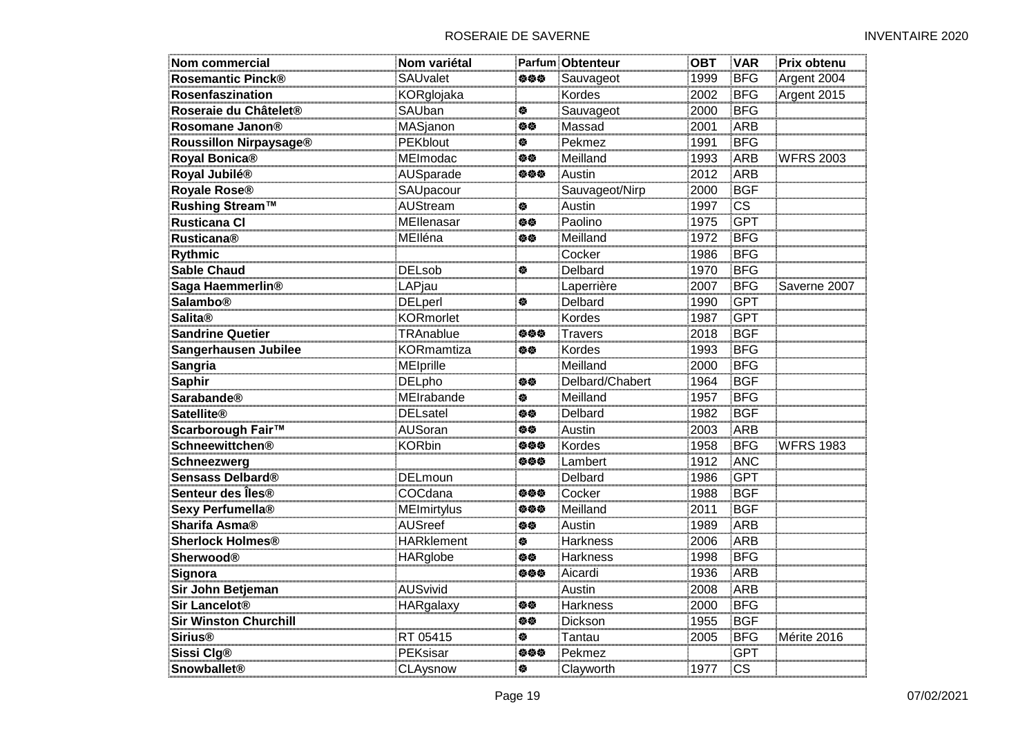| <b>Nom commercial</b>         | Nom variétal      |     | <b>Parfum Obtenteur</b> | <b>OBT</b> | <b>VAR</b>             | Prix obtenu      |
|-------------------------------|-------------------|-----|-------------------------|------------|------------------------|------------------|
| <b>Rosemantic Pinck®</b>      | SAUvalet          | 姿姿姿 | Sauvageot               | 1999       | <b>BFG</b>             | Argent 2004      |
| Rosenfaszination              | KORglojaka        |     | Kordes                  | 2002       | <b>BFG</b>             | Argent 2015      |
| Roseraie du Châtelet®         | SAUban            | 穆   | Sauvageot               | 2000       | <b>BFG</b>             |                  |
| Rosomane Janon®               | <b>MASjanon</b>   | 伯位  | Massad                  | 2001       | <b>ARB</b>             |                  |
| Roussillon Nirpaysage®        | <b>PEKblout</b>   | 蚕   | Pekmez                  | 1991       | <b>BFG</b>             |                  |
| Royal Bonica®                 | MEImodac          | 白德  | Meilland                | 1993       | ARB                    | <b>WFRS 2003</b> |
| Royal Jubilé®                 | AUSparade         | 姿姿姿 | Austin                  | 2012       | ARB                    |                  |
| Royale Rose®                  | SAUpacour         |     | Sauvageot/Nirp          | 2000       | <b>BGF</b>             |                  |
| <b>Rushing Stream™</b>        | AUStream          | 傪   | Austin                  | 1997       | $\overline{\text{cs}}$ |                  |
| <b>Rusticana Cl</b>           | MEllenasar        | 旋旋  | Paolino                 | 1975       | <b>GPT</b>             |                  |
| <b>Rusticana®</b>             | MElléna           | 旋旋  | Meilland                | 1972       | <b>BFG</b>             |                  |
| Rythmic                       |                   |     | Cocker                  | 1986       | <b>BFG</b>             |                  |
| <b>Sable Chaud</b>            | <b>DELsob</b>     | ♦   | Delbard                 | 1970       | <b>BFG</b>             |                  |
| Saga Haemmerlin <sup>®</sup>  | LAPjau            |     | Laperrière              | 2007       | <b>BFG</b>             | Saverne 2007     |
| <b>Salambo®</b>               | <b>DELperl</b>    | 穆   | Delbard                 | 1990       | <b>GPT</b>             |                  |
| <b>Salita®</b>                | <b>KORmorlet</b>  |     | Kordes                  | 1987       | <b>GPT</b>             |                  |
| <b>Sandrine Quetier</b>       | TRAnablue         | 负负负 | <b>Travers</b>          | 2018       | <b>BGF</b>             |                  |
| Sangerhausen Jubilee          | <b>KORmamtiza</b> | 伯修  | Kordes                  | 1993       | <b>BFG</b>             |                  |
| Sangria                       | <b>MEIprille</b>  |     | Meilland                | 2000       | <b>BFG</b>             |                  |
| <b>Saphir</b>                 | <b>DELpho</b>     | 姿姿  | Delbard/Chabert         | 1964       | <b>BGF</b>             |                  |
| <b>Sarabande<sup>®</sup></b>  | MEIrabande        | 俊   | Meilland                | 1957       | <b>BFG</b>             |                  |
| <b>Satellite®</b>             | <b>DELsatel</b>   | 旋旋  | Delbard                 | 1982       | <b>BGF</b>             |                  |
| Scarborough Fair™             | <b>AUSoran</b>    | 白德  | Austin                  | 2003       | ARB                    |                  |
| <b>Schneewittchen®</b>        | <b>KORbin</b>     | 负负负 | Kordes                  | 1958       | <b>BFG</b>             | <b>WFRS 1983</b> |
| Schneezwerg                   |                   | 姿姿姿 | Lambert                 | 1912       | <b>ANC</b>             |                  |
| Sensass Delbard®              | <b>DELmoun</b>    |     | Delbard                 | 1986       | <b>GPT</b>             |                  |
| Senteur des Îles®             | COCdana           | 姿姿姿 | Cocker                  | 1988       | <b>BGF</b>             |                  |
| Sexy Perfumella®              | MEImirtylus       | 姿姿姿 | Meilland                | 2011       | <b>BGF</b>             |                  |
| <b>Sharifa Asma®</b>          | <b>AUSreef</b>    | 白德  | Austin                  | 1989       | ARB                    |                  |
| <b>Sherlock Holmes®</b>       | <b>HARklement</b> | 参   | <b>Harkness</b>         | 2006       | ARB                    |                  |
| <b>Sherwood®</b>              | HARglobe          | 位位  | <b>Harkness</b>         | 1998       | <b>BFG</b>             |                  |
| Signora                       |                   | 姿姿姿 | Aicardi                 | 1936       | ARB                    |                  |
| Sir John Betjeman             | <b>AUSvivid</b>   |     | Austin                  | 2008       | ARB                    |                  |
| Sir Lancelot <sup>®</sup>     | HARgalaxy         | 伯位  | Harkness                | 2000       | <b>BFG</b>             |                  |
| <b>Sir Winston Churchill</b>  |                   | 旋旋  | Dickson                 | 1955       | <b>BGF</b>             |                  |
| <b>Sirius®</b>                | RT 05415          | 餋   | Tantau                  | 2005       | <b>BFG</b>             | Mérite 2016      |
| Sissi Clg®                    | PEKsisar          | 姿姿姿 | Pekmez                  |            | <b>GPT</b>             |                  |
| <b>Snowballet<sup>®</sup></b> | CLAysnow          | 藜   | Clayworth               | 1977       | $\overline{\text{cs}}$ |                  |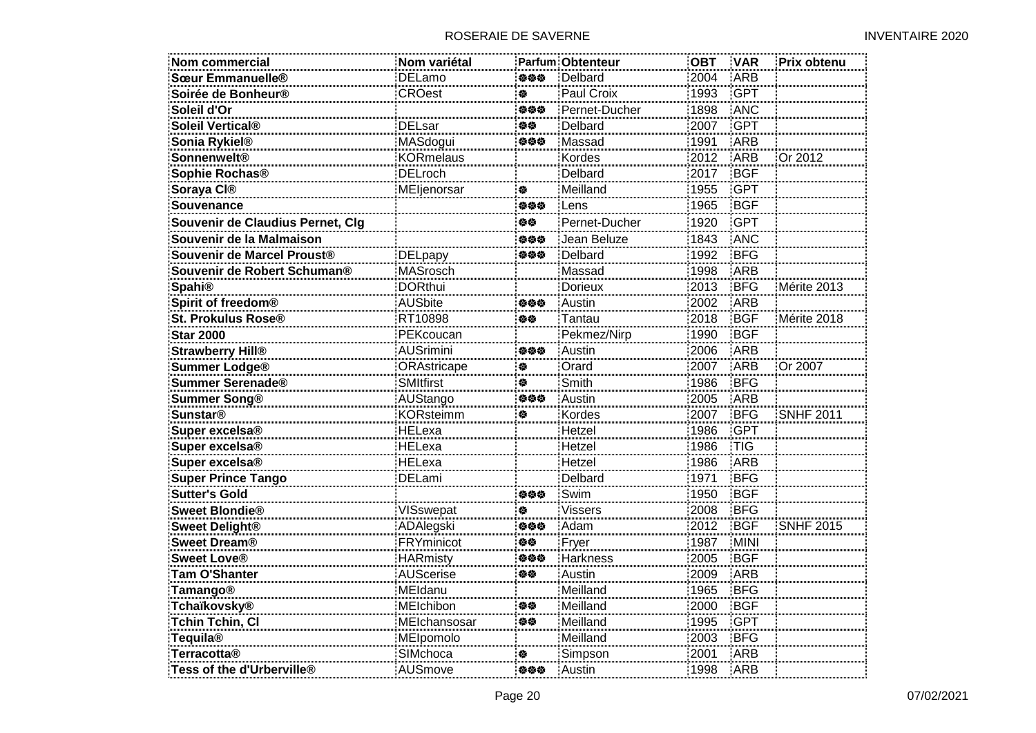| Nom commercial                   | Nom variétal      |     | <b>Parfum Obtenteur</b> | ОВТ  | <b>VAR</b>  | Prix obtenu      |
|----------------------------------|-------------------|-----|-------------------------|------|-------------|------------------|
| Sœur Emmanuelle <sup>®</sup>     | <b>DELamo</b>     | 伯伯伯 | Delbard                 | 2004 | <b>ARB</b>  |                  |
| Soirée de Bonheur®               | <b>CROest</b>     | 俊   | Paul Croix              | 1993 | <b>GPT</b>  |                  |
| Soleil d'Or                      |                   | 负负负 | Pernet-Ducher           | 1898 | ANC         |                  |
| Soleil Vertical®                 | <b>DELsar</b>     | 修修  | Delbard                 | 2007 | <b>GPT</b>  |                  |
| Sonia Rykiel <sup>®</sup>        | MASdogui          | 负负负 | Massad                  | 1991 | <b>ARB</b>  |                  |
| <b>Sonnenwelt®</b>               | <b>KORmelaus</b>  |     | Kordes                  | 2012 | <b>ARB</b>  | Or 2012          |
| Sophie Rochas <sup>®</sup>       | <b>DELroch</b>    |     | Delbard                 | 2017 | <b>BGF</b>  |                  |
| Soraya CI®                       | MEljenorsar       | 俊   | Meilland                | 1955 | <b>GPT</b>  |                  |
| Souvenance                       |                   | 负负负 | Lens                    | 1965 | <b>BGF</b>  |                  |
| Souvenir de Claudius Pernet, Clg |                   | 修修  | Pernet-Ducher           | 1920 | <b>GPT</b>  |                  |
| Souvenir de la Malmaison         |                   | 参参参 | Jean Beluze             | 1843 | <b>ANC</b>  |                  |
| Souvenir de Marcel Proust®       | <b>DELpapy</b>    | 姿姿姿 | Delbard                 | 1992 | <b>BFG</b>  |                  |
| Souvenir de Robert Schuman®      | MASrosch          |     | Massad                  | 1998 | ARB         |                  |
| <b>Spahi®</b>                    | <b>DORthui</b>    |     | Dorieux                 | 2013 | <b>BFG</b>  | Mérite 2013      |
| Spirit of freedom®               | <b>AUSbite</b>    | 姿姿姿 | Austin                  | 2002 | <b>ARB</b>  |                  |
| St. Prokulus Rose®               | RT10898           | 修修  | Tantau                  | 2018 | <b>BGF</b>  | Mérite 2018      |
| <b>Star 2000</b>                 | PEKcoucan         |     | Pekmez/Nirp             | 1990 | <b>BGF</b>  |                  |
| <b>Strawberry Hill®</b>          | <b>AUSrimini</b>  | 旋旋旋 | Austin                  | 2006 | <b>ARB</b>  |                  |
| <b>Summer Lodge®</b>             | ORAstricape       | 餋   | Orard                   | 2007 | ARB         | Or 2007          |
| <b>Summer Serenade®</b>          | SMItfirst         | 傪   | Smith                   | 1986 | <b>BFG</b>  |                  |
| <b>Summer Song®</b>              | AUStango          | 姿姿姿 | Austin                  | 2005 | ARB         |                  |
| <b>Sunstar®</b>                  | <b>KORsteimm</b>  | 餋   | Kordes                  | 2007 | <b>BFG</b>  | <b>SNHF 2011</b> |
| Super excelsa <sup>®</sup>       | HELexa            |     | Hetzel                  | 1986 | <b>GPT</b>  |                  |
| Super excelsa <sup>®</sup>       | <b>HELexa</b>     |     | Hetzel                  | 1986 | <b>TIG</b>  |                  |
| Super excelsa <sup>®</sup>       | <b>HELexa</b>     |     | Hetzel                  | 1986 | <b>ARB</b>  |                  |
| <b>Super Prince Tango</b>        | DELami            |     | Delbard                 | 1971 | <b>BFG</b>  |                  |
| <b>Sutter's Gold</b>             |                   | 姿姿姿 | Swim                    | 1950 | <b>BGF</b>  |                  |
| <b>Sweet Blondie®</b>            | VISswepat         | 餋   | <b>Vissers</b>          | 2008 | <b>BFG</b>  |                  |
| <b>Sweet Delight®</b>            | ADAlegski         | 姿姿姿 | Adam                    | 2012 | <b>BGF</b>  | <b>SNHF 2015</b> |
| <b>Sweet Dream®</b>              | <b>FRYminicot</b> | 旋旋  | Fryer                   | 1987 | <b>MINI</b> |                  |
| <b>Sweet Love®</b>               | <b>HARmisty</b>   | 姿姿姿 | <b>Harkness</b>         | 2005 | <b>BGF</b>  |                  |
| <b>Tam O'Shanter</b>             | <b>AUScerise</b>  | 伯位  | Austin                  | 2009 | <b>ARB</b>  |                  |
| <b>Tamango®</b>                  | MEIdanu           |     | Meilland                | 1965 | <b>BFG</b>  |                  |
| <b>Tchaïkovsky®</b>              | MElchibon         | 修修  | Meilland                | 2000 | BGF         |                  |
| <b>Tchin Tchin, Cl</b>           | MEIchansosar      | 旋旋  | Meilland                | 1995 | <b>GPT</b>  |                  |
| <b>Tequila®</b>                  | MElpomolo         |     | Meilland                | 2003 | <b>BFG</b>  |                  |
| <b>Terracotta®</b>               | SIMchoca          | 傪   | Simpson                 | 2001 | <b>ARB</b>  |                  |
| Tess of the d'Urberville®        | AUSmove           | 姿姿姿 | Austin                  | 1998 | <b>ARB</b>  |                  |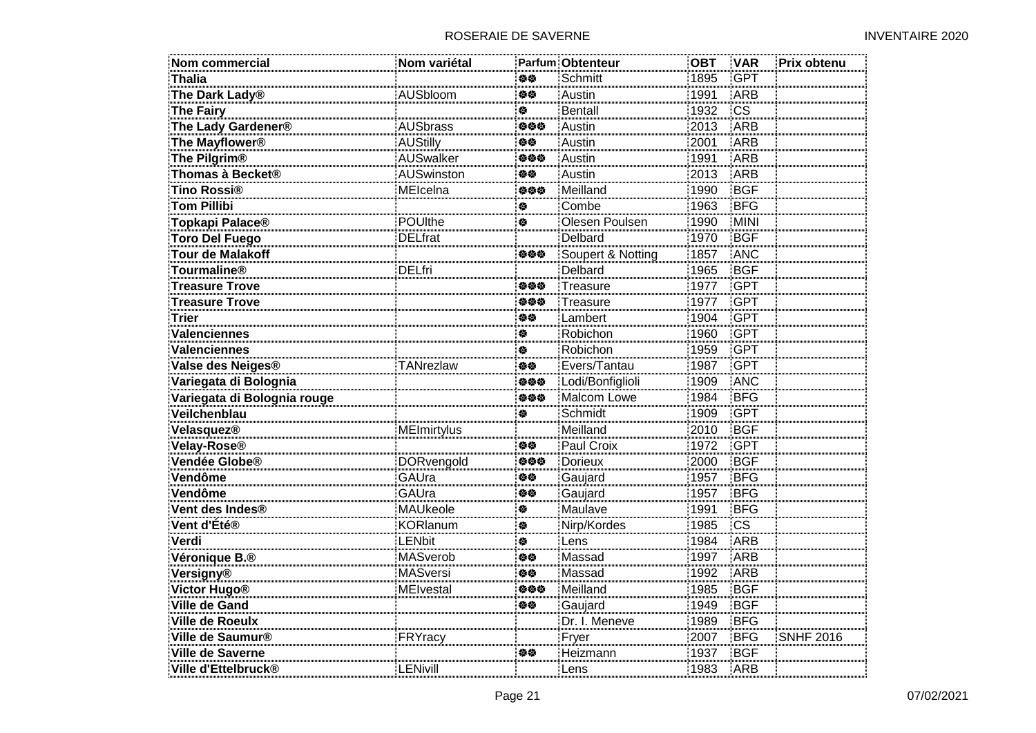| Nom commercial               | Nom variétal       |     | Parfum Obtenteur  | <b>OBT</b> | <b>VAR</b>             | Prix obtenu      |
|------------------------------|--------------------|-----|-------------------|------------|------------------------|------------------|
| <b>Thalia</b>                |                    | 白德  | Schmitt           | 1895       | <b>GPT</b>             |                  |
| The Dark Lady <sup>®</sup>   | AUSbloom           | 伯位  | Austin            | 1991       | <b>ARB</b>             |                  |
| The Fairy                    |                    | 橀   | <b>Bentall</b>    | 1932       | $\overline{\text{cs}}$ |                  |
| The Lady Gardener®           | <b>AUSbrass</b>    | 姿姿姿 | Austin            | 2013       | <b>ARB</b>             |                  |
| The Mayflower <sup>®</sup>   | <b>AUStilly</b>    | 伯位  | Austin            | 2001       | ARB                    |                  |
| The Pilgrim <sup>®</sup>     | <b>AUSwalker</b>   | 姿姿姿 | Austin            | 1991       | ARB                    |                  |
| Thomas à Becket®             | <b>AUSwinston</b>  | 位位  | Austin            | 2013       | ARB                    |                  |
| Tino Rossi <sup>®</sup>      | MEIcelna           | 姿姿姿 | Meilland          | 1990       | <b>BGF</b>             |                  |
| <b>Tom Pillibi</b>           |                    | 傪   | Combe             | 1963       | <b>BFG</b>             |                  |
| Topkapi Palace <sup>®</sup>  | POUlthe            | ♦   | Olesen Poulsen    | 1990       | <b>MINI</b>            |                  |
| <b>Toro Del Fuego</b>        | <b>DELfrat</b>     |     | Delbard           | 1970       | <b>BGF</b>             |                  |
| <b>Tour de Malakoff</b>      |                    | 姿姿姿 | Soupert & Notting | 1857       | <b>ANC</b>             |                  |
| <b>Tourmaline®</b>           | <b>DELfri</b>      |     | Delbard           | 1965       | <b>BGF</b>             |                  |
| <b>Treasure Trove</b>        |                    | 姿姿姿 | Treasure          | 1977       | <b>GPT</b>             |                  |
| <b>Treasure Trove</b>        |                    | 姿姿姿 | Treasure          | 1977       | <b>GPT</b>             |                  |
| <b>Trier</b>                 |                    | 白德  | Lambert           | 1904       | <b>GPT</b>             |                  |
| <b>Valenciennes</b>          |                    | 餋   | Robichon          | 1960       | <b>GPT</b>             |                  |
| <b>Valenciennes</b>          |                    | 穆   | Robichon          | 1959       | <b>GPT</b>             |                  |
| Valse des Neiges®            | TANrezlaw          | 姿态  | Evers/Tantau      | 1987       | <b>GPT</b>             |                  |
| Variegata di Bolognia        |                    | 姿姿姿 | Lodi/Bonfiglioli  | 1909       | ANC                    |                  |
| Variegata di Bolognia rouge  |                    | 姿姿姿 | Malcom Lowe       | 1984       | <b>BFG</b>             |                  |
| Veilchenblau                 |                    | ♦   | Schmidt           | 1909       | <b>GPT</b>             |                  |
| Velasquez®                   | <b>MEImirtylus</b> |     | Meilland          | 2010       | <b>BGF</b>             |                  |
| Velay-Rose®                  |                    | 姿姿  | Paul Croix        | 1972       | <b>GPT</b>             |                  |
| Vendée Globe®                | <b>DORvengold</b>  | 姿姿姿 | <b>Dorieux</b>    | 2000       | <b>BGF</b>             |                  |
| Vendôme                      | GAUra              | 位位  | Gaujard           | 1957       | <b>BFG</b>             |                  |
| Vendôme                      | GAUra              | 伯位  | Gaujard           | 1957       | <b>BFG</b>             |                  |
| Vent des Indes <sup>®</sup>  | <b>MAUkeole</b>    | 穆   | Maulave           | 1991       | <b>BFG</b>             |                  |
| Vent d'Été®                  | <b>KORlanum</b>    | 穆   | Nirp/Kordes       | 1985       | $\overline{\text{cs}}$ |                  |
| Verdi                        | <b>LENbit</b>      | 餋   | Lens              | 1984       | <b>ARB</b>             |                  |
| Véronique B.®                | <b>MASverob</b>    | 修修  | Massad            | 1997       | ARB                    |                  |
| Versigny®                    | MASversi           | 姿姿  | Massad            | 1992       | ARB                    |                  |
| <b>Victor Hugo®</b>          | <b>MEIvestal</b>   | 姿姿姿 | Meilland          | 1985       | <b>BGF</b>             |                  |
| <b>Ville de Gand</b>         |                    | 白德  | Gaujard           | 1949       | <b>BGF</b>             |                  |
| <b>Ville de Roeulx</b>       |                    |     | Dr. I. Meneve     | 1989       | <b>BFG</b>             |                  |
| Ville de Saumur <sup>®</sup> | FRYracy            |     | Fryer             | 2007       | <b>BFG</b>             | <b>SNHF 2016</b> |
| <b>Ville de Saverne</b>      |                    | 旋旋  | Heizmann          | 1937       | <b>BGF</b>             |                  |
| Ville d'Ettelbruck®          | <b>LENivill</b>    |     | Lens              | 1983       | ARB                    |                  |